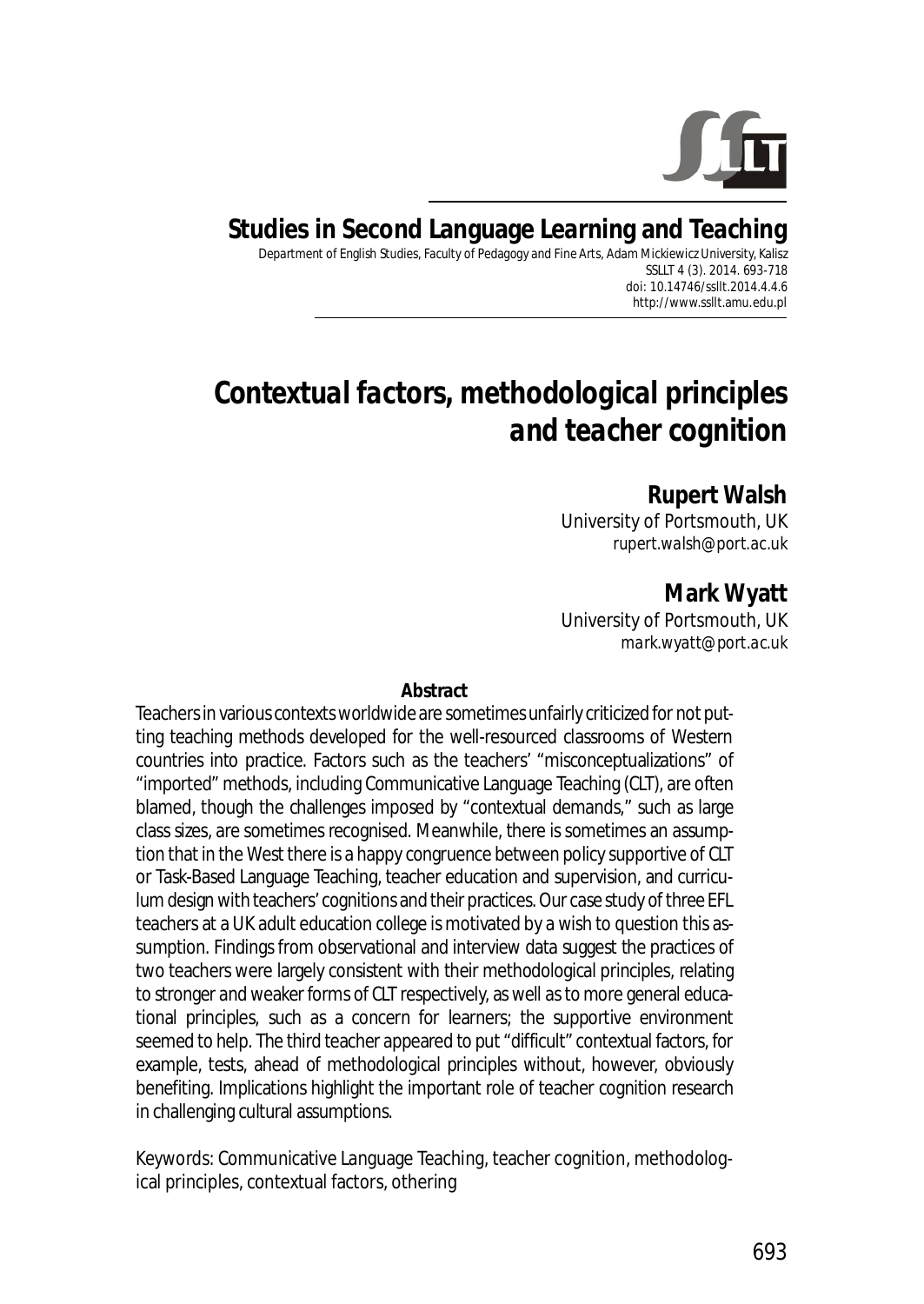

# **Studies in Second Language Learning and Teaching**

Department of English Studies, Faculty of Pedagogy and Fine Arts, Adam Mickiewicz University, Kalisz SSLLT 4 (3). 2014. 693-718 *doi: 10.14746/ssllt.2014.4.4.6* http://www.ssllt.amu.edu.pl

# *Contextual factors, methodological principles and teacher cognition*

#### **Rupert Walsh**

University of Portsmouth, UK *rupert.walsh@port.ac.uk*

**Mark Wyatt** University of Portsmouth, UK *mark.wyatt@port.ac.uk*

#### **Abstract**

Teachers in various contexts worldwide are sometimes unfairly criticized for not putting teaching methods developed for the well-resourced classrooms of Western countries into practice. Factors such as the teachers' "misconceptualizations" of "imported" methods, including Communicative Language Teaching (CLT), are often blamed, though the challenges imposed by "contextual demands," such as large class sizes, are sometimes recognised. Meanwhile, there is sometimes an assumption that in the West there is a happy congruence between policy supportive of CLT or Task-Based Language Teaching, teacher education and supervision, and curriculum design with teachers' cognitions and their practices. Our case study of three EFL teachers at a UK adult education college is motivated by a wish to question this assumption. Findings from observational and interview data suggest the practices of two teachers were largely consistent with their methodological principles, relating to stronger and weaker forms of CLT respectively, as well as to more general educational principles, such as a concern for learners; the supportive environment seemed to help. The third teacher appeared to put "difficult" contextual factors, for example, tests, ahead of methodological principles without, however, obviously benefiting. Implications highlight the important role of teacher cognition research in challenging cultural assumptions.

*Keywords*: Communicative Language Teaching, teacher cognition, methodological principles, contextual factors, othering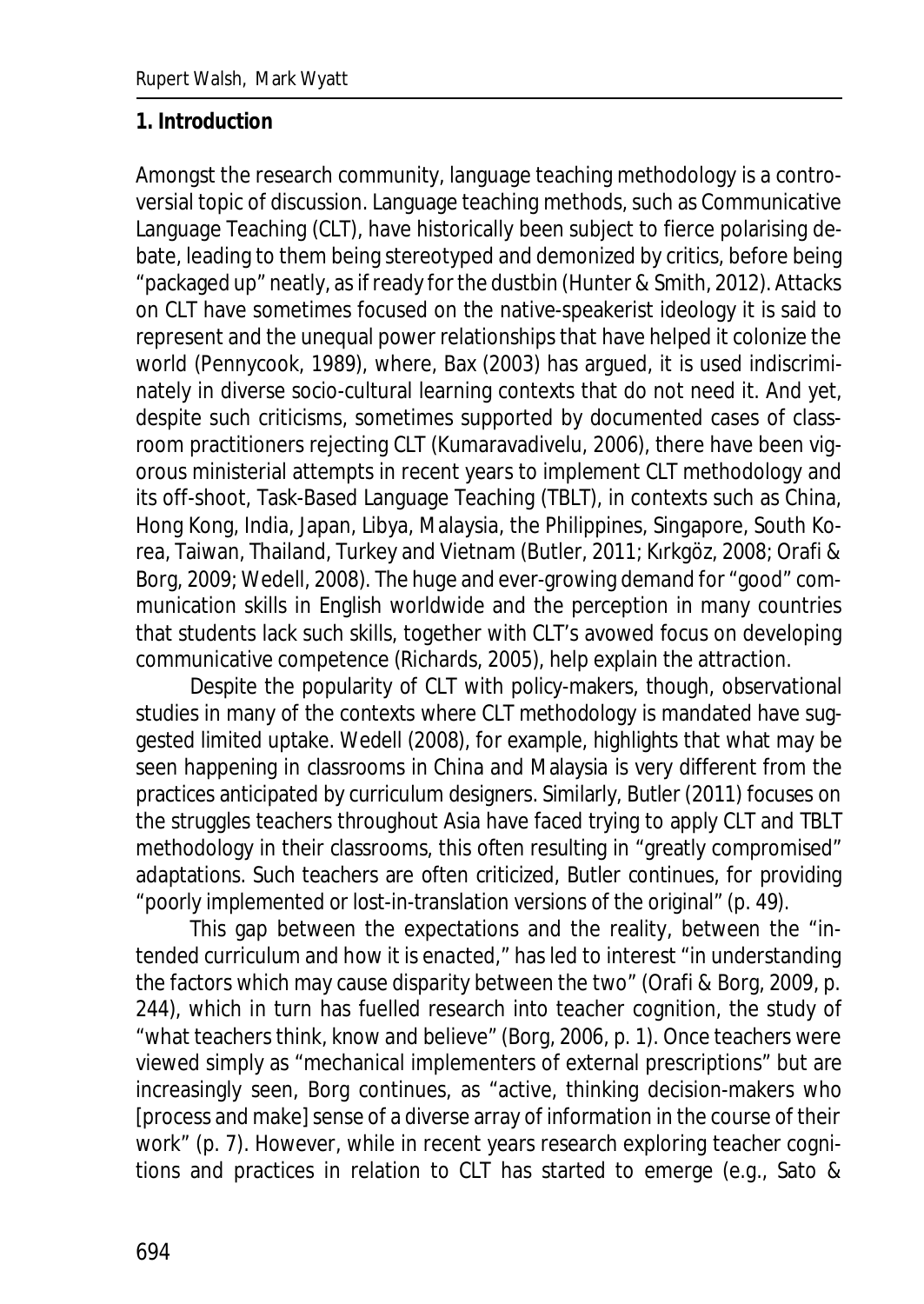### **1. Introduction**

Amongst the research community, language teaching methodology is a controversial topic of discussion. Language teaching methods, such as Communicative Language Teaching (CLT), have historically been subject to fierce polarising debate, leading to them being stereotyped and demonized by critics, before being "packaged up" neatly, as if ready for the dustbin (Hunter & Smith, 2012). Attacks on CLT have sometimes focused on the native-speakerist ideology it is said to represent and the unequal power relationships that have helped it colonize the world (Pennycook, 1989), where, Bax (2003) has argued, it is used indiscriminately in diverse socio-cultural learning contexts that do not need it. And yet, despite such criticisms, sometimes supported by documented cases of classroom practitioners rejecting CLT (Kumaravadivelu, 2006), there have been vigorous ministerial attempts in recent years to implement CLT methodology and its off-shoot, Task-Based Language Teaching (TBLT), in contexts such as China, Hong Kong, India, Japan, Libya, Malaysia, the Philippines, Singapore, South Korea, Taiwan, Thailand, Turkey and Vietnam (Butler, 2011; Kırkgöz, 2008; Orafi & Borg, 2009; Wedell, 2008). The huge and ever-growing demand for "good" communication skills in English worldwide and the perception in many countries that students lack such skills, together with CLT's avowed focus on developing communicative competence (Richards, 2005), help explain the attraction.

Despite the popularity of CLT with policy-makers, though, observational studies in many of the contexts where CLT methodology is mandated have suggested limited uptake. Wedell (2008), for example, highlights that what may be seen happening in classrooms in China and Malaysia is very different from the practices anticipated by curriculum designers. Similarly, Butler (2011) focuses on the struggles teachers throughout Asia have faced trying to apply CLT and TBLT methodology in their classrooms, this often resulting in "greatly compromised" adaptations. Such teachers are often criticized, Butler continues, for providing "poorly implemented or lost-in-translation versions of the original" (p. 49).

This gap between the expectations and the reality, between the "intended curriculum and how it is enacted," has led to interest "in understanding the factors which may cause disparity between the two" (Orafi & Borg, 2009, p. 244), which in turn has fuelled research into teacher cognition, the study of "what teachers think, know and believe" (Borg, 2006, p. 1). Once teachers were viewed simply as "mechanical implementers of external prescriptions" but are increasingly seen, Borg continues, as "active, thinking decision-makers who [process and make] sense of a diverse array of information in the course of their work" (p. 7). However, while in recent years research exploring teacher cognitions and practices in relation to CLT has started to emerge (e.g., Sato &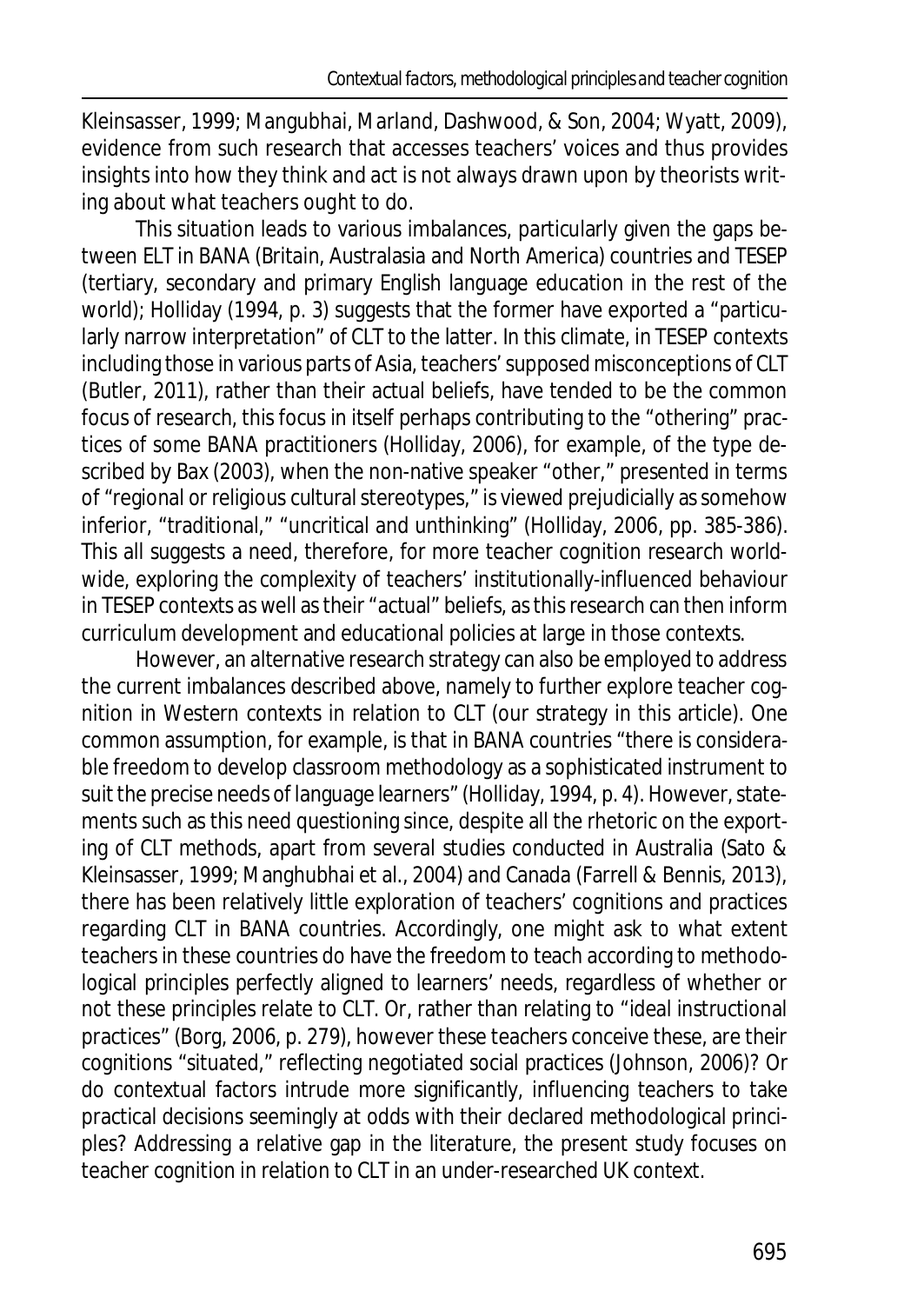Kleinsasser, 1999; Mangubhai, Marland, Dashwood, & Son, 2004; Wyatt, 2009), evidence from such research that accesses teachers' voices and thus provides insights into how they think and act is not always drawn upon by theorists writing about what teachers *ought* to do.

This situation leads to various imbalances, particularly given the gaps between ELT in BANA (Britain, Australasia and North America) countries and TESEP (tertiary, secondary and primary English language education in the rest of the world); Holliday (1994, p. 3) suggests that the former have exported a "particularly narrow interpretation" of CLT to the latter. In this climate, in TESEP contexts including those in various parts of Asia, teachers' supposed misconceptions of CLT (Butler, 2011), rather than their actual beliefs, have tended to be the common focus of research, this focus in itself perhaps contributing to the "othering" practices of some BANA practitioners (Holliday, 2006), for example, of the type described by Bax (2003), when the non-native speaker "other," presented in terms of "regional or religious cultural stereotypes," is viewed prejudicially as somehow inferior, "traditional," "uncritical and unthinking" (Holliday, 2006, pp. 385-386). This all suggests a need, therefore, for more teacher cognition research worldwide, exploring the complexity of teachers' institutionally-influenced behaviour in TESEP contexts as well as their "actual" beliefs, as this research can then inform curriculum development and educational policies at large in those contexts.

However, an alternative research strategy can also be employed to address the current imbalances described above, namely to further explore teacher cognition in Western contexts in relation to CLT (our strategy in this article). One common assumption, for example, is that in BANA countries "there is considerable freedom to develop classroom methodology as a sophisticated instrument to suit the precise needs of language learners" (Holliday, 1994, p. 4). However, statements such as this need questioning since, despite all the rhetoric on the exporting of CLT methods, apart from several studies conducted in Australia (Sato & Kleinsasser, 1999; Manghubhai et al., 2004) and Canada (Farrell & Bennis, 2013), there has been relatively little exploration of teachers' cognitions and practices regarding CLT in BANA countries. Accordingly, one might ask to what extent teachers in these countries do have the freedom to teach according to methodological principles perfectly aligned to learners' needs, regardless of whether or not these principles relate to CLT. Or, rather than relating to "ideal instructional practices" (Borg, 2006, p. 279), however these teachers conceive these, are their cognitions "situated," reflecting negotiated social practices (Johnson, 2006)? Or do contextual factors intrude more significantly, influencing teachers to take practical decisions seemingly at odds with their declared methodological principles? Addressing a relative gap in the literature, the present study focuses on teacher cognition in relation to CLT in an under-researched UK context.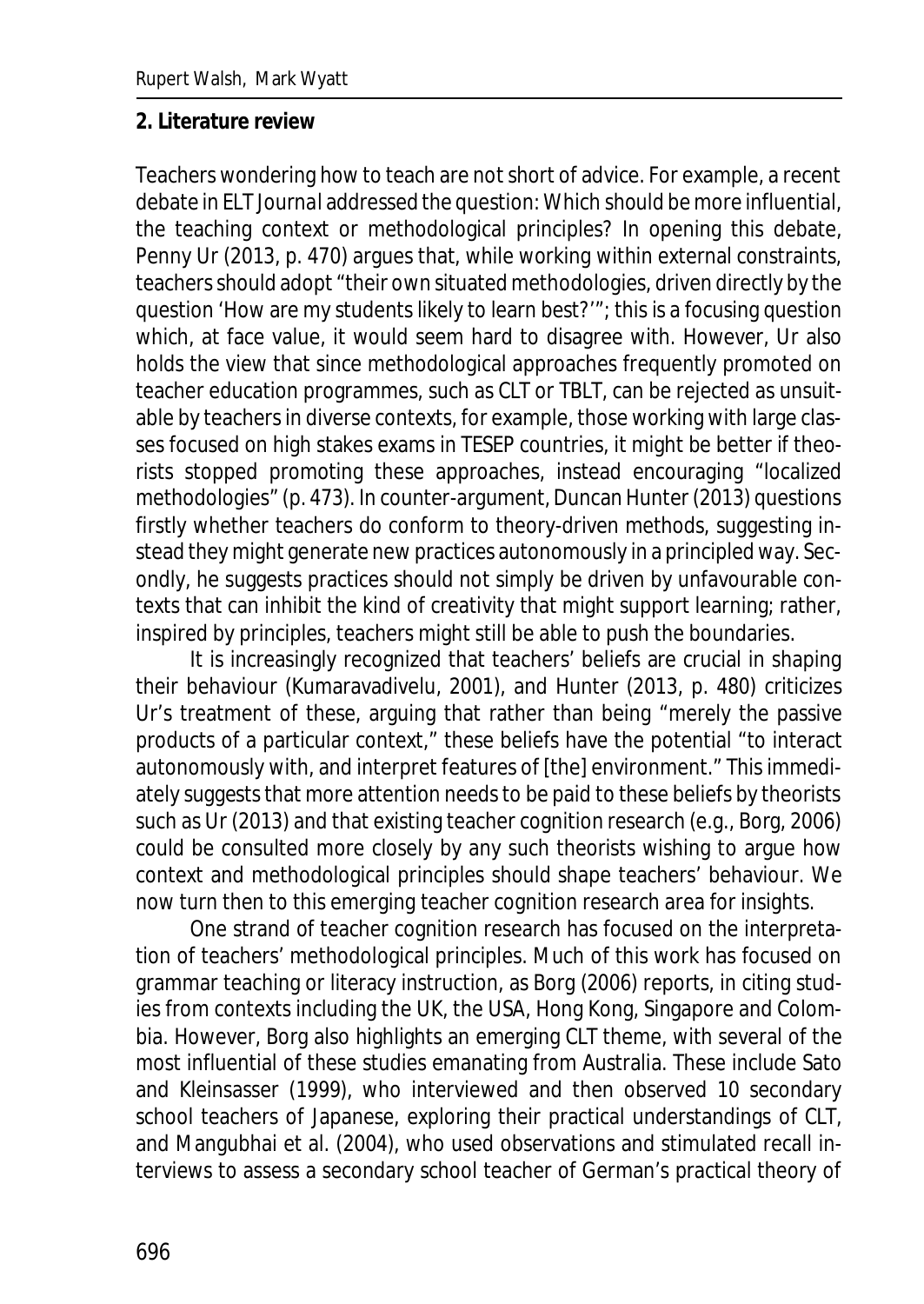#### **2. Literature review**

Teachers wondering how to teach are not short of advice. For example, a recent debate in *ELT Journal* addressed the question: Which *should* be more influential, the teaching context or methodological principles? In opening this debate, Penny Ur (2013, p. 470) argues that, while working within external constraints, teachers should adopt "their own situated methodologies, driven directly by the question 'How are my students likely to learn best?'"; this is a focusing question which, at face value, it would seem hard to disagree with. However, Ur also holds the view that since methodological approaches frequently promoted on teacher education programmes, such as CLT or TBLT, can be rejected as unsuitable by teachers in diverse contexts, for example, those working with large classes focused on high stakes exams in TESEP countries, it might be better if theorists stopped promoting these approaches, instead encouraging "localized methodologies" (p. 473). In counter-argument, Duncan Hunter (2013) questions firstly whether teachers do conform to theory-driven methods, suggesting instead they might generate new practices autonomously in a principled way. Secondly, he suggests practices should not simply be driven by unfavourable contexts that can inhibit the kind of creativity that might support learning; rather, inspired by principles, teachers might still be able to push the boundaries.

It is increasingly recognized that teachers' beliefs are crucial in shaping their behaviour (Kumaravadivelu, 2001), and Hunter (2013, p. 480) criticizes Ur's treatment of these, arguing that rather than being "merely the passive products of a particular context," these beliefs have the potential "to interact autonomously with, and interpret features of [the] environment." This immediately suggests that more attention needs to be paid to these beliefs by theorists such as Ur (2013) and that existing teacher cognition research (e.g., Borg, 2006) could be consulted more closely by any such theorists wishing to argue how context and methodological principles *should* shape teachers' behaviour. We now turn then to this emerging teacher cognition research area for insights.

One strand of teacher cognition research has focused on the interpretation of teachers' methodological principles. Much of this work has focused on grammar teaching or literacy instruction, as Borg (2006) reports, in citing studies from contexts including the UK, the USA, Hong Kong, Singapore and Colombia. However, Borg also highlights an emerging CLT theme, with several of the most influential of these studies emanating from Australia. These include Sato and Kleinsasser (1999), who interviewed and then observed 10 secondary school teachers of Japanese, exploring their practical understandings of CLT, and Mangubhai et al. (2004), who used observations and stimulated recall interviews to assess a secondary school teacher of German's practical theory of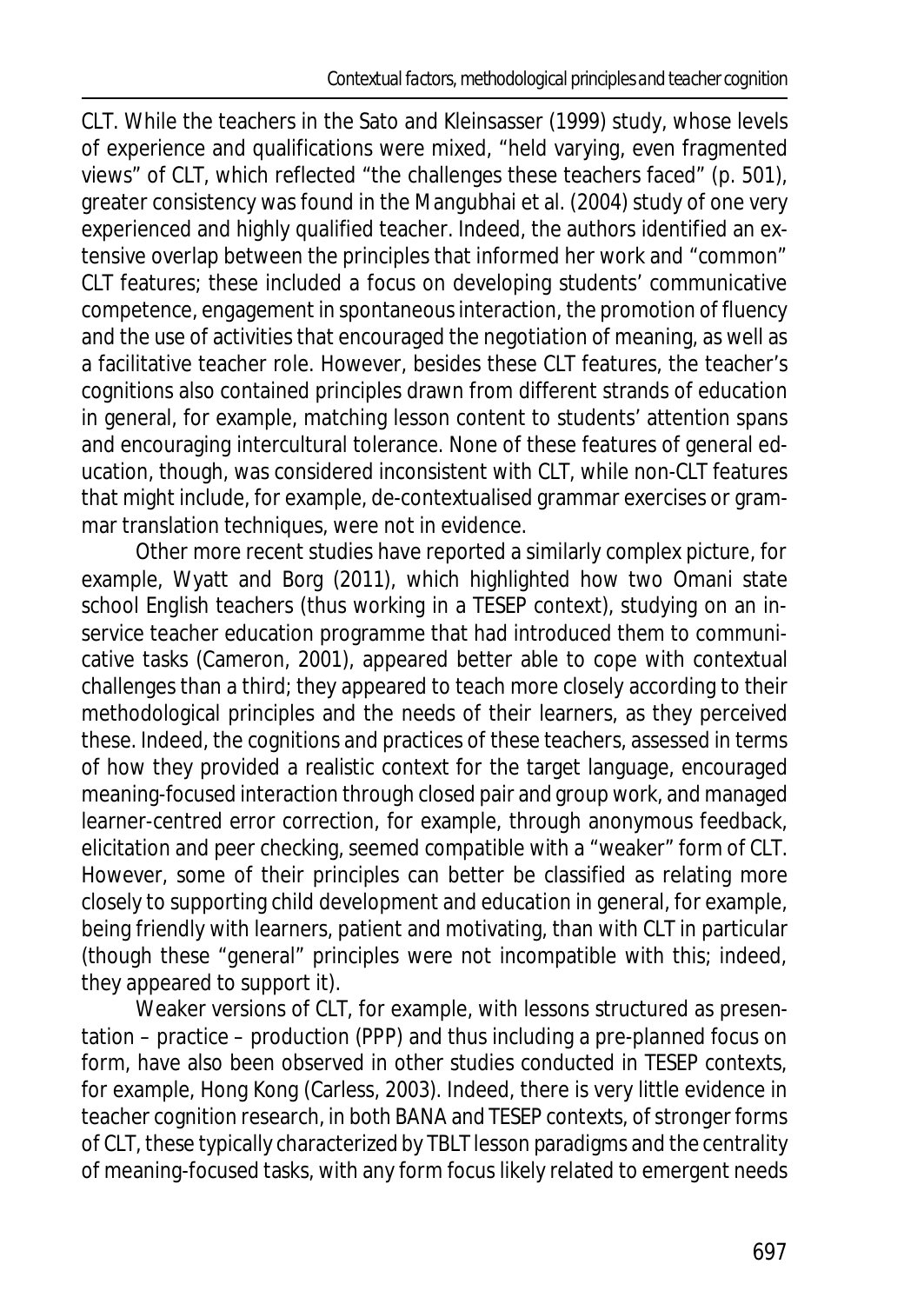CLT. While the teachers in the Sato and Kleinsasser (1999) study, whose levels of experience and qualifications were mixed, "held varying, even fragmented views" of CLT, which reflected "the challenges these teachers faced" (p. 501), greater consistency was found in the Mangubhai et al. (2004) study of one very experienced and highly qualified teacher. Indeed, the authors identified an extensive overlap between the principles that informed her work and "common" CLT features; these included a focus on developing students' communicative competence, engagement in spontaneous interaction, the promotion of fluency and the use of activities that encouraged the negotiation of meaning, as well as a facilitative teacher role. However, besides these CLT features, the teacher's cognitions also contained principles drawn from different strands of education in general, for example, matching lesson content to students' attention spans and encouraging intercultural tolerance. None of these features of general education, though, was considered inconsistent with CLT, while non-CLT features that might include, for example, de-contextualised grammar exercises or grammar translation techniques, were not in evidence.

Other more recent studies have reported a similarly complex picture, for example, Wyatt and Borg (2011), which highlighted how two Omani state school English teachers (thus working in a TESEP context), studying on an inservice teacher education programme that had introduced them to communicative tasks (Cameron, 2001), appeared better able to cope with contextual challenges than a third; they appeared to teach more closely according to their methodological principles and the needs of their learners, as they perceived these. Indeed, the cognitions and practices of these teachers, assessed in terms of how they provided a realistic context for the target language, encouraged meaning-focused interaction through closed pair and group work, and managed learner-centred error correction, for example, through anonymous feedback, elicitation and peer checking, seemed compatible with a "weaker" form of CLT. However, some of their principles can better be classified as relating more closely to supporting child development and education in general, for example, being friendly with learners, patient and motivating, than with CLT in particular (though these "general" principles were not incompatible with this; indeed, they appeared to support it).

Weaker versions of CLT, for example, with lessons structured as presentation – practice – production (PPP) and thus including a pre-planned focus on form, have also been observed in other studies conducted in TESEP contexts, for example, Hong Kong (Carless, 2003). Indeed, there is very little evidence in teacher cognition research, in both BANA and TESEP contexts, of stronger forms of CLT, these typically characterized by TBLT lesson paradigms and the centrality of meaning-focused tasks, with any form focus likely related to emergent needs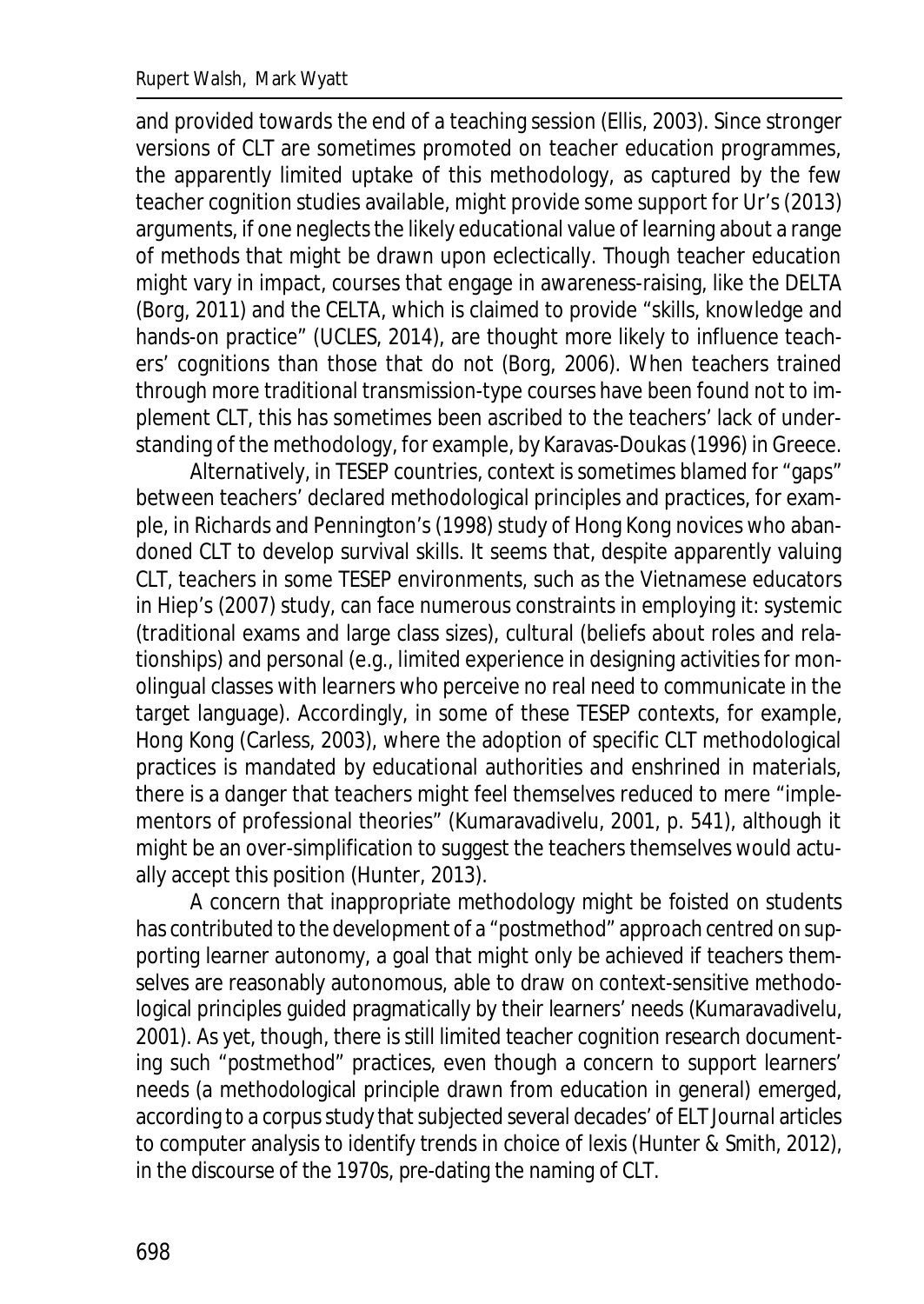and provided towards the end of a teaching session (Ellis, 2003). Since stronger versions of CLT are sometimes promoted on teacher education programmes, the apparently limited uptake of this methodology, as captured by the few teacher cognition studies available, might provide some support for Ur's (2013) arguments, if one neglects the likely educational value of learning about a range of methods that might be drawn upon eclectically. Though teacher education might vary in impact, courses that engage in awareness-raising, like the DELTA (Borg, 2011) and the CELTA, which is claimed to provide "skills, knowledge and hands-on practice" (UCLES, 2014), are thought more likely to influence teachers' cognitions than those that do not (Borg, 2006). When teachers trained through more traditional transmission-type courses have been found not to implement CLT, this has sometimes been ascribed to the teachers' lack of understanding of the methodology, for example, by Karavas-Doukas (1996) in Greece.

Alternatively, in TESEP countries, context is sometimes blamed for "gaps" between teachers' declared methodological principles and practices, for example, in Richards and Pennington's (1998) study of Hong Kong novices who abandoned CLT to develop survival skills. It seems that, despite apparently valuing CLT, teachers in some TESEP environments, such as the Vietnamese educators in Hiep's (2007) study, can face numerous constraints in employing it: systemic (traditional exams and large class sizes), cultural (beliefs about roles and relationships) and personal (e.g., limited experience in designing activities for monolingual classes with learners who perceive no real need to communicate in the target language). Accordingly, in some of these TESEP contexts, for example, Hong Kong (Carless, 2003), where the adoption of specific CLT methodological practices is mandated by educational authorities and enshrined in materials, there is a danger that teachers might feel themselves reduced to mere "implementors of professional theories" (Kumaravadivelu, 2001, p. 541), although it might be an over-simplification to suggest the teachers themselves would actually accept this position (Hunter, 2013).

A concern that inappropriate methodology might be foisted on students has contributed to the development of a "postmethod" approach centred on supporting learner autonomy, a goal that might only be achieved if teachers themselves are reasonably autonomous, able to draw on context-sensitive methodological principles guided pragmatically by their learners' needs (Kumaravadivelu, 2001). As yet, though, there is still limited teacher cognition research documenting such "postmethod" practices, even though a concern to support learners' needs (a methodological principle drawn from education in general) emerged, according to a corpus study that subjected several decades' of *ELT Journal* articles to computer analysis to identify trends in choice of lexis (Hunter & Smith, 2012), in the discourse of the 1970s, pre-dating the naming of CLT.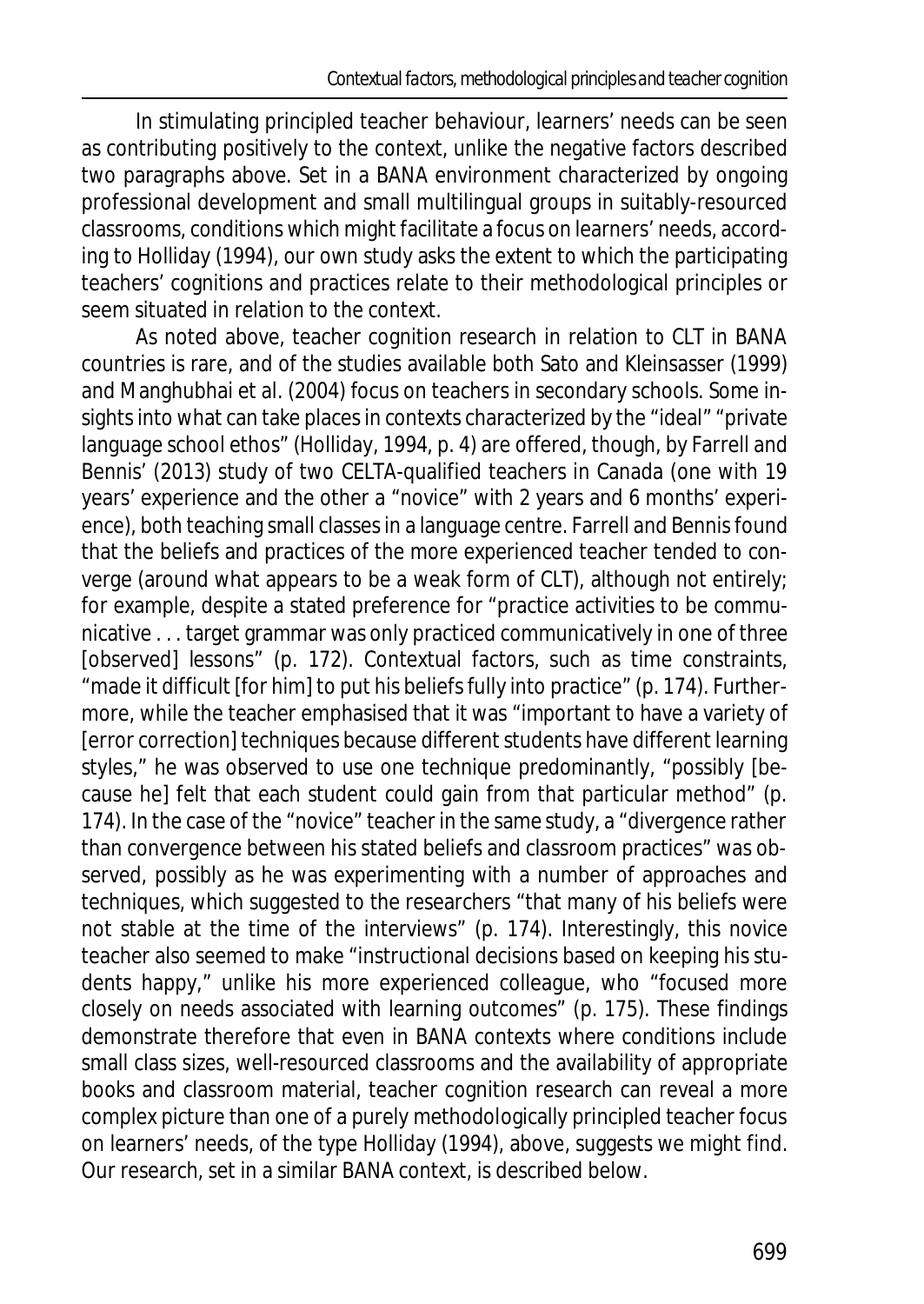In stimulating principled teacher behaviour, learners' needs can be seen as contributing positively to the context, unlike the negative factors described two paragraphs above. Set in a BANA environment characterized by ongoing professional development and small multilingual groups in suitably-resourced classrooms, conditions which might facilitate a focus on learners' needs, according to Holliday (1994), our own study asks the extent to which the participating teachers' cognitions and practices relate to their methodological principles or seem situated in relation to the context.

As noted above, teacher cognition research in relation to CLT in BANA countries is rare, and of the studies available both Sato and Kleinsasser (1999) and Manghubhai et al. (2004) focus on teachers in secondary schools. Some insights into what can take places in contexts characterized by the "ideal" "private language school ethos" (Holliday, 1994, p. 4) are offered, though, by Farrell and Bennis' (2013) study of two CELTA-qualified teachers in Canada (one with 19 years' experience and the other a "novice" with 2 years and 6 months' experience), both teaching small classes in a language centre. Farrell and Bennis found that the beliefs and practices of the more experienced teacher tended to converge (around what appears to be a weak form of CLT), although not entirely; for example, despite a stated preference for "practice activities to be communicative . . . target grammar was only practiced communicatively in one of three [observed] lessons" (p. 172). Contextual factors, such as time constraints, "made it difficult [for him] to put his beliefs fully into practice" (p. 174). Furthermore, while the teacher emphasised that it was "important to have a variety of [error correction] techniques because different students have different learning styles," he was observed to use one technique predominantly, "possibly [because he] felt that each student could gain from that particular method" (p. 174). In the case of the "novice" teacher in the same study, a "divergence rather than convergence between his stated beliefs and classroom practices" was observed, possibly as he was experimenting with a number of approaches and techniques, which suggested to the researchers "that many of his beliefs were not stable at the time of the interviews" (p. 174). Interestingly, this novice teacher also seemed to make "instructional decisions based on keeping his students happy," unlike his more experienced colleague, who "focused more closely on needs associated with learning outcomes" (p. 175). These findings demonstrate therefore that even in BANA contexts where conditions include small class sizes, well-resourced classrooms and the availability of appropriate books and classroom material, teacher cognition research can reveal a more complex picture than one of a purely methodologically principled teacher focus on learners' needs, of the type Holliday (1994), above, suggests we might find. Our research, set in a similar BANA context, is described below.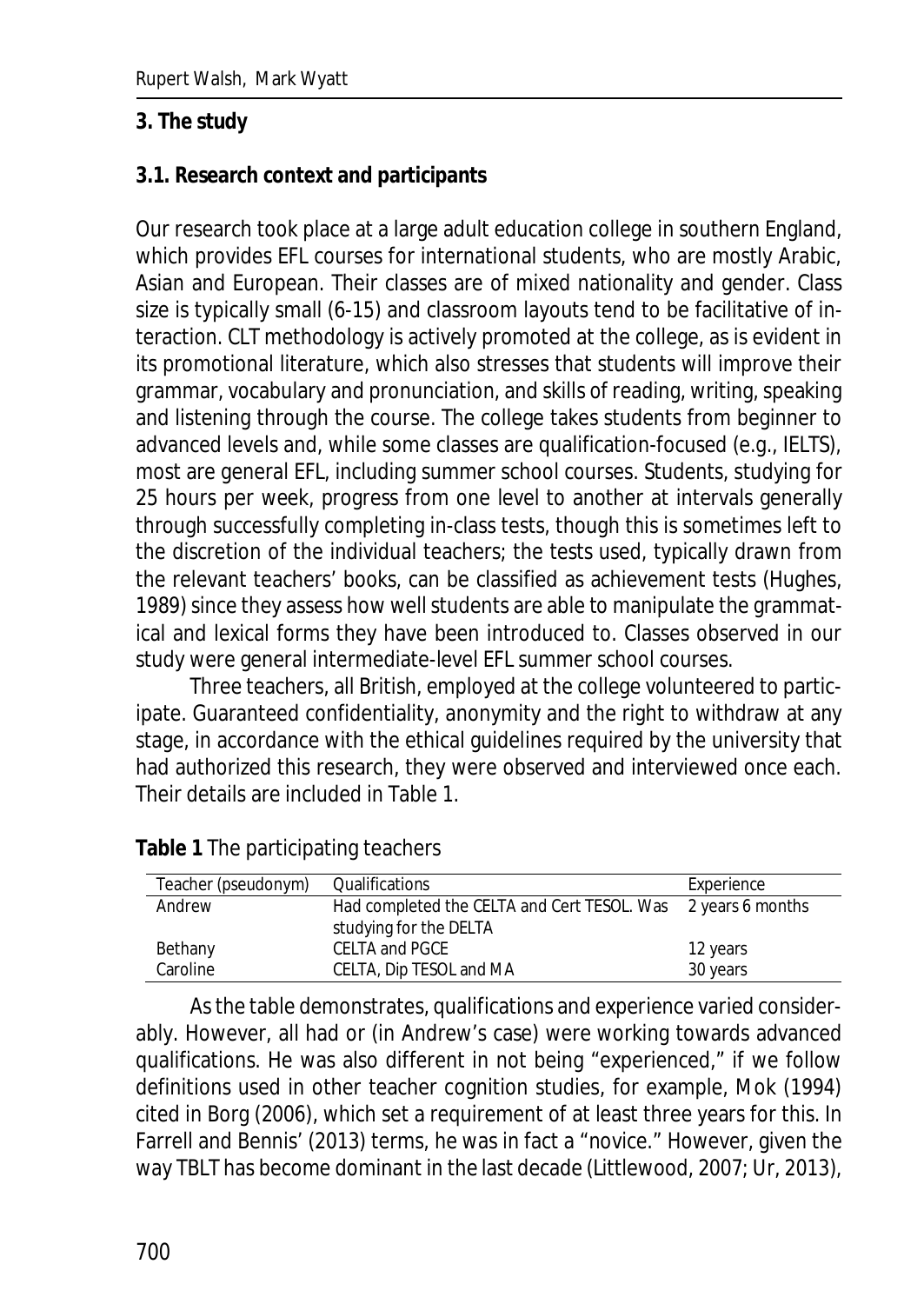#### **3. The study**

#### **3.1. Research context and participants**

Our research took place at a large adult education college in southern England, which provides EFL courses for international students, who are mostly Arabic, Asian and European. Their classes are of mixed nationality and gender. Class size is typically small (6-15) and classroom layouts tend to be facilitative of interaction. CLT methodology is actively promoted at the college, as is evident in its promotional literature, which also stresses that students will improve their grammar, vocabulary and pronunciation, and skills of reading, writing, speaking and listening through the course. The college takes students from beginner to advanced levels and, while some classes are qualification-focused (e.g., IELTS), most are general EFL, including summer school courses. Students, studying for 25 hours per week, progress from one level to another at intervals generally through successfully completing in-class tests, though this is sometimes left to the discretion of the individual teachers; the tests used, typically drawn from the relevant teachers' books, can be classified as achievement tests (Hughes, 1989) since they assess how well students are able to manipulate the grammatical and lexical forms they have been introduced to. Classes observed in our study were general intermediate-level EFL summer school courses.

Three teachers, all British, employed at the college volunteered to participate. Guaranteed confidentiality, anonymity and the right to withdraw at any stage, in accordance with the ethical guidelines required by the university that had authorized this research, they were observed and interviewed once each. Their details are included in Table 1.

| Teacher (pseudonym) | Qualifications                                               | Experience |
|---------------------|--------------------------------------------------------------|------------|
| Andrew              | Had completed the CELTA and Cert TESOL. Was 2 years 6 months |            |
|                     | studying for the DELTA                                       |            |
| Bethany             | CELTA and PGCE                                               | 12 years   |
| Caroline            | CELTA, Dip TESOL and MA                                      | 30 years   |

**Table 1** The participating teachers

As the table demonstrates, qualifications and experience varied considerably. However, all had or (in Andrew's case) were working towards advanced qualifications. He was also different in not being "experienced," if we follow definitions used in other teacher cognition studies, for example, Mok (1994) cited in Borg (2006), which set a requirement of at least three years for this. In Farrell and Bennis' (2013) terms, he was in fact a "novice." However, given the way TBLT has become dominant in the last decade (Littlewood, 2007; Ur, 2013),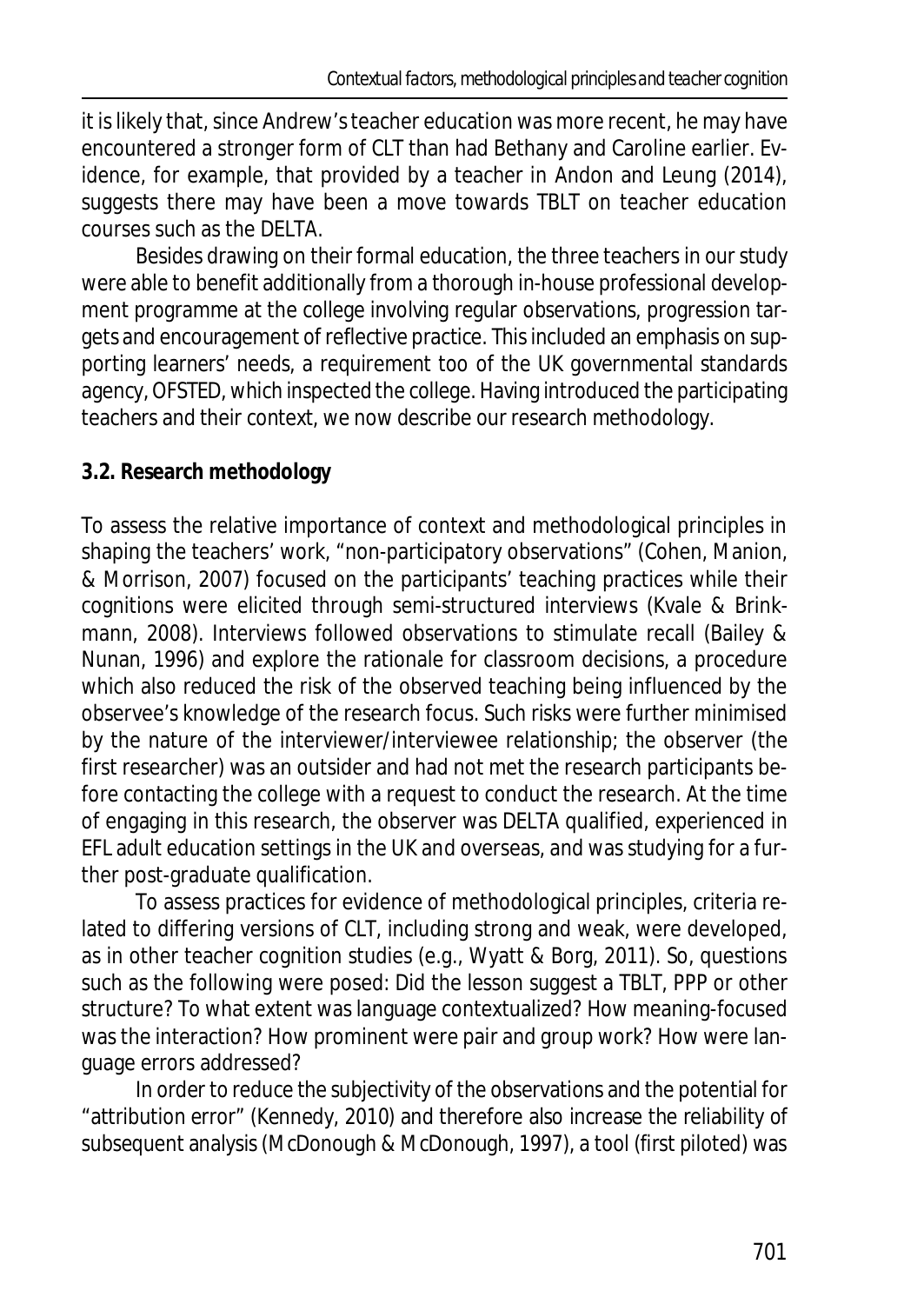it is likely that, since Andrew's teacher education was more recent, he may have encountered a stronger form of CLT than had Bethany and Caroline earlier. Evidence, for example, that provided by a teacher in Andon and Leung (2014), suggests there may have been a move towards TBLT on teacher education courses such as the DELTA.

Besides drawing on their formal education, the three teachers in our study were able to benefit additionally from a thorough in-house professional development programme at the college involving regular observations, progression targets and encouragement of reflective practice. This included an emphasis on supporting learners' needs, a requirement too of the UK governmental standards agency, OFSTED, which inspected the college. Having introduced the participating teachers and their context, we now describe our research methodology.

# **3.2. Research methodology**

To assess the relative importance of context and methodological principles in shaping the teachers' work, "non-participatory observations" (Cohen, Manion, & Morrison, 2007) focused on the participants' teaching practices while their cognitions were elicited through semi-structured interviews (Kvale & Brinkmann, 2008). Interviews followed observations to stimulate recall (Bailey & Nunan, 1996) and explore the rationale for classroom decisions, a procedure which also reduced the risk of the observed teaching being influenced by the observee's knowledge of the research focus. Such risks were further minimised by the nature of the interviewer/interviewee relationship; the observer (the first researcher) was an outsider and had not met the research participants before contacting the college with a request to conduct the research. At the time of engaging in this research, the observer was DELTA qualified, experienced in EFL adult education settings in the UK and overseas, and was studying for a further post-graduate qualification.

To assess practices for evidence of methodological principles, criteria related to differing versions of CLT, including strong and weak, were developed, as in other teacher cognition studies (e.g., Wyatt & Borg, 2011). So, questions such as the following were posed: Did the lesson suggest a TBLT, PPP or other structure? To what extent was language contextualized? How meaning-focused was the interaction? How prominent were pair and group work? How were language errors addressed?

In order to reduce the subjectivity of the observations and the potential for "attribution error" (Kennedy, 2010) and therefore also increase the reliability of subsequent analysis (McDonough & McDonough, 1997), a tool (first piloted) was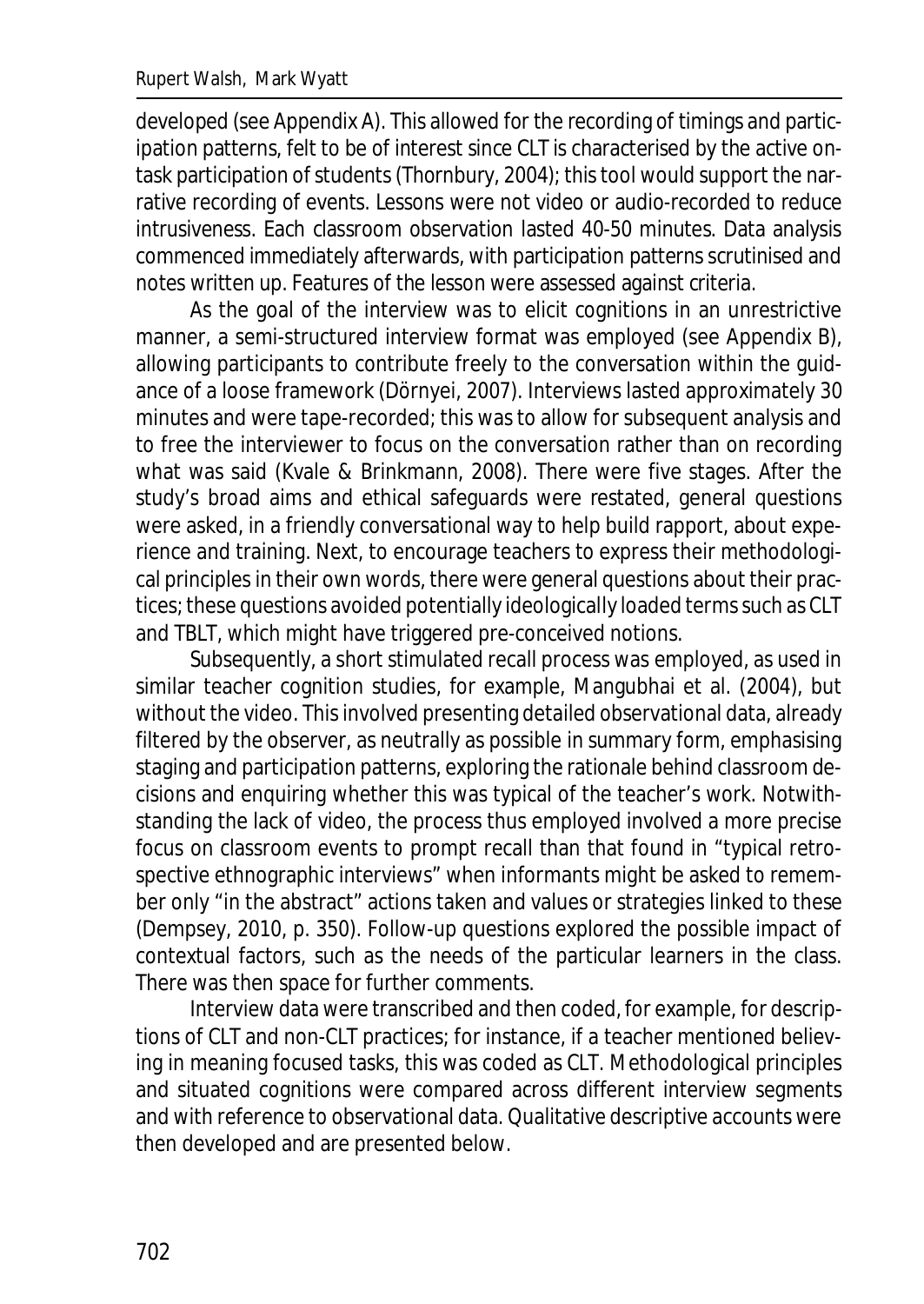developed (see Appendix A). This allowed for the recording of timings and participation patterns, felt to be of interest since CLT is characterised by the active ontask participation of students (Thornbury, 2004); this tool would support the narrative recording of events. Lessons were not video or audio-recorded to reduce intrusiveness. Each classroom observation lasted 40-50 minutes. Data analysis commenced immediately afterwards, with participation patterns scrutinised and notes written up. Features of the lesson were assessed against criteria.

As the goal of the interview was to elicit cognitions in an unrestrictive manner, a semi-structured interview format was employed (see Appendix B), allowing participants to contribute freely to the conversation within the guidance of a loose framework (Dörnyei, 2007). Interviews lasted approximately 30 minutes and were tape-recorded; this was to allow for subsequent analysis and to free the interviewer to focus on the conversation rather than on recording what was said (Kvale & Brinkmann, 2008). There were five stages. After the study's broad aims and ethical safeguards were restated, general questions were asked, in a friendly conversational way to help build rapport, about experience and training. Next, to encourage teachers to express their methodological principles in their own words, there were general questions about their practices; these questions avoided potentially ideologically loaded terms such as CLT and TBLT, which might have triggered pre-conceived notions.

Subsequently, a short stimulated recall process was employed, as used in similar teacher cognition studies, for example, Mangubhai et al. (2004), but without the video. This involved presenting detailed observational data, already filtered by the observer, as neutrally as possible in summary form, emphasising staging and participation patterns, exploring the rationale behind classroom decisions and enquiring whether this was typical of the teacher's work. Notwithstanding the lack of video, the process thus employed involved a more precise focus on classroom events to prompt recall than that found in "typical retrospective ethnographic interviews" when informants might be asked to remember only "in the abstract" actions taken and values or strategies linked to these (Dempsey, 2010, p. 350). Follow-up questions explored the possible impact of contextual factors, such as the needs of the particular learners in the class. There was then space for further comments.

Interview data were transcribed and then coded, for example, for descriptions of CLT and non-CLT practices; for instance, if a teacher mentioned believing in meaning focused tasks, this was coded as CLT. Methodological principles and situated cognitions were compared across different interview segments and with reference to observational data. Qualitative descriptive accounts were then developed and are presented below.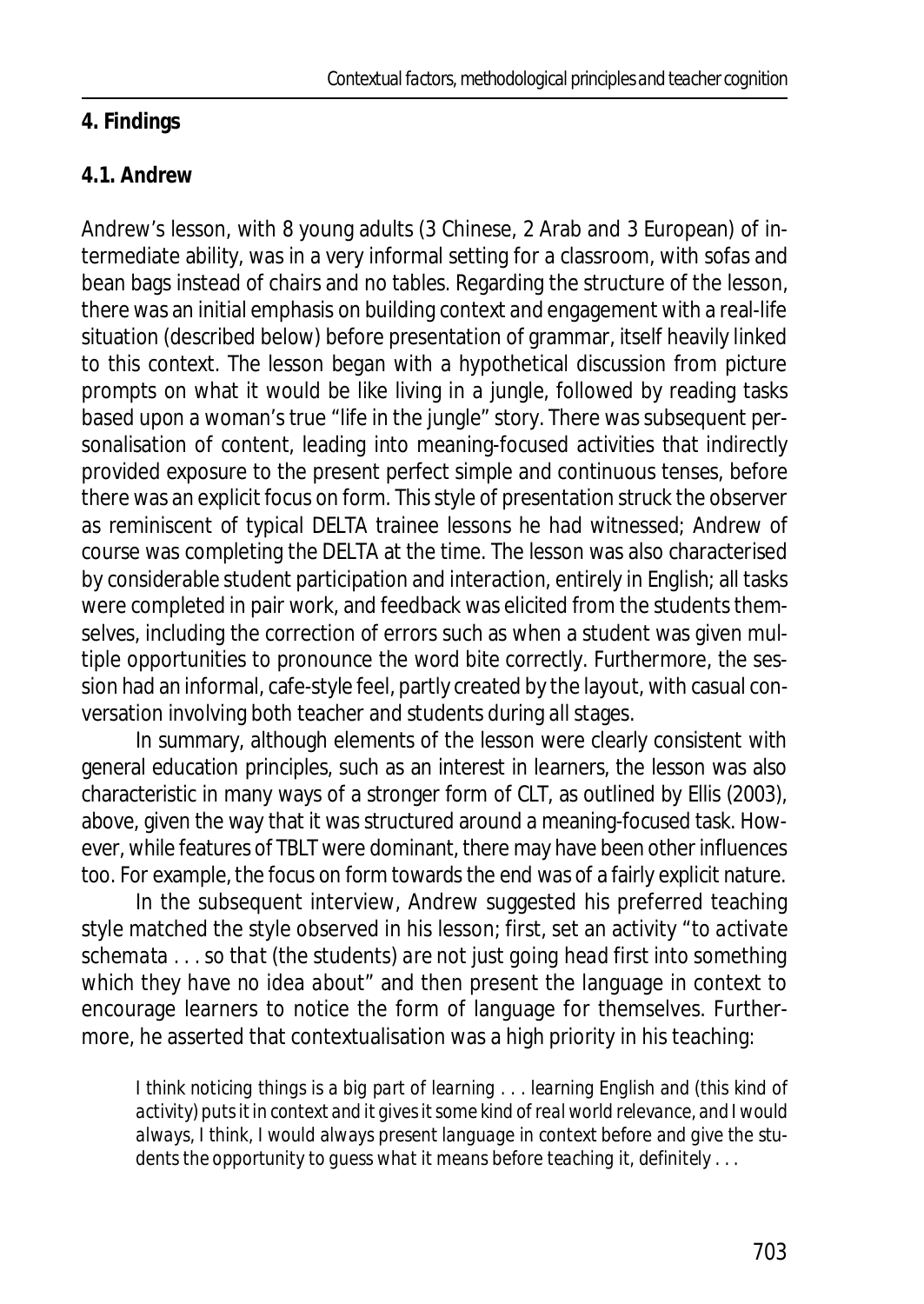### **4. Findings**

### **4.1. Andrew**

Andrew's lesson, with 8 young adults (3 Chinese, 2 Arab and 3 European) of intermediate ability, was in a very informal setting for a classroom, with sofas and bean bags instead of chairs and no tables. Regarding the structure of the lesson, there was an initial emphasis on building context and engagement with a real-life situation (described below) before presentation of grammar, itself heavily linked to this context. The lesson began with a hypothetical discussion from picture prompts on what it would be like living in a jungle, followed by reading tasks based upon a woman's true "life in the jungle" story. There was subsequent personalisation of content, leading into meaning-focused activities that indirectly provided exposure to the present perfect simple and continuous tenses, before there was an explicit focus on form. This style of presentation struck the observer as reminiscent of typical DELTA trainee lessons he had witnessed; Andrew of course was completing the DELTA at the time. The lesson was also characterised by considerable student participation and interaction, entirely in English; all tasks were completed in pair work, and feedback was elicited from the students themselves, including the correction of errors such as when a student was given multiple opportunities to pronounce the word *bite* correctly. Furthermore, the session had an informal, cafe-style feel, partly created by the layout, with casual conversation involving both teacher and students during all stages.

In summary, although elements of the lesson were clearly consistent with general education principles, such as an interest in learners, the lesson was also characteristic in many ways of a stronger form of CLT, as outlined by Ellis (2003), above, given the way that it was structured around a meaning-focused task. However, while features of TBLT were dominant, there may have been other influences too. For example, the focus on form towards the end was of a fairly explicit nature.

In the subsequent interview, Andrew suggested his preferred teaching style matched the style observed in his lesson; first, set an activity "*to activate schemata . . . so that* (the students) *are not just going head first into something which they have no idea about*" and then present the language in context to encourage learners to notice the form of language for themselves. Furthermore, he asserted that contextualisation was a high priority in his teaching:

*I think noticing things is a big part of learning . . . learning English and (this kind of activity) puts it in context and it gives it some kind of real world relevance, and I would always, I think, I would always present language in context before and give the students the opportunity to guess what it means before teaching it, definitely . . .*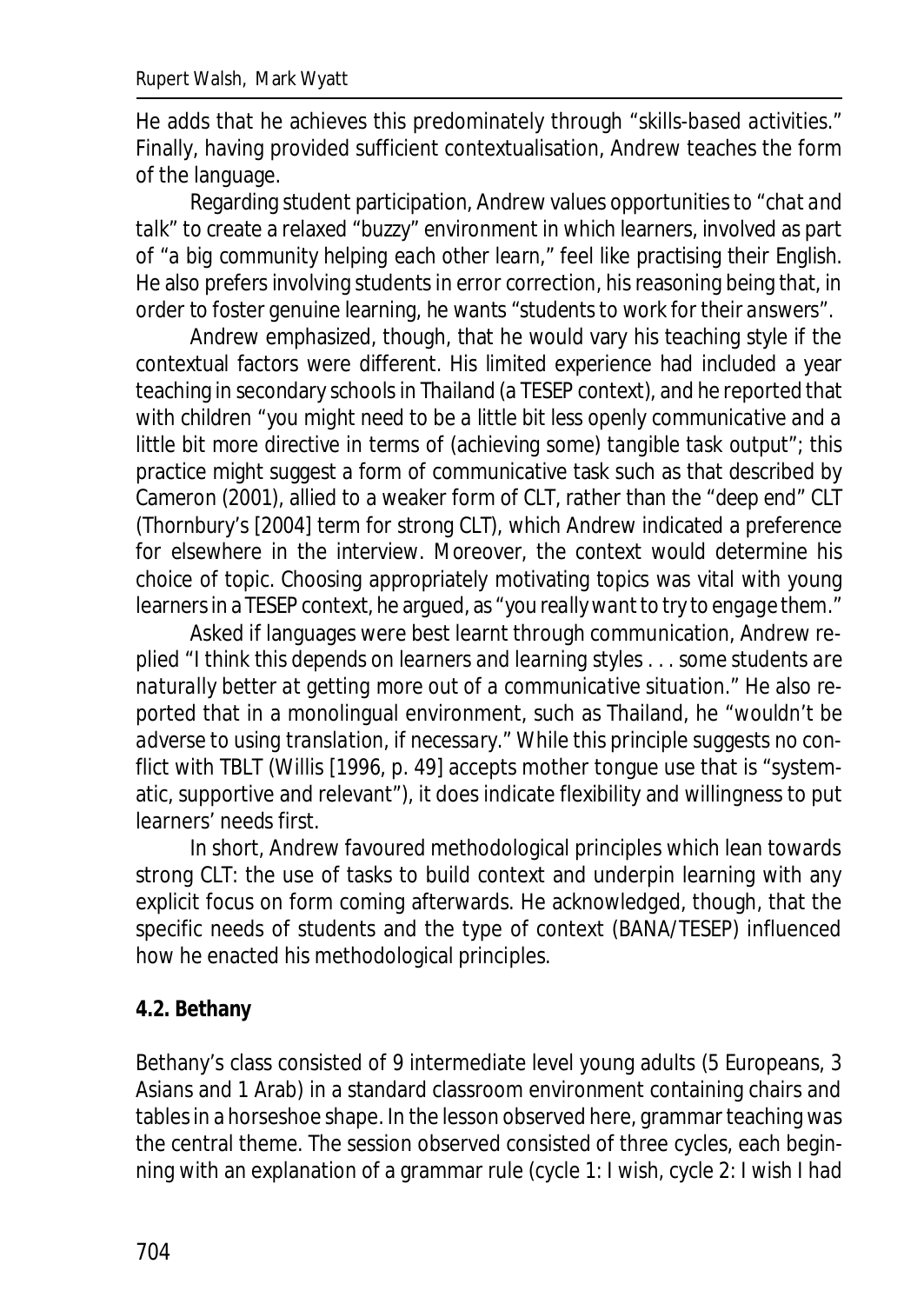He adds that he achieves this predominately through "*skills-based activities*." Finally, having provided sufficient contextualisation, Andrew teaches the form of the language.

Regarding student participation, Andrew values opportunities to "*chat and talk*" to create a relaxed "*buzzy*" environment in which learners, involved as part of "*a big community helping each other learn*," feel like practising their English. He also prefers involving students in error correction, his reasoning being that, in order to foster genuine learning, he wants "*students to work for their answers*".

Andrew emphasized, though, that he would vary his teaching style if the contextual factors were different. His limited experience had included a year teaching in secondary schools in Thailand (a TESEP context), and he reported that with children "*you might need to be a little bit less openly communicative and a little bit more directive in terms of* (achieving some) *tangible task output*"; this practice might suggest a form of communicative task such as that described by Cameron (2001), allied to a weaker form of CLT, rather than the "*deep end*" CLT (Thornbury's [2004] term for strong CLT), which Andrew indicated a preference for elsewhere in the interview. Moreover, the context would determine his choice of topic. Choosing appropriately motivating topics was vital with young learners in a TESEP context, he argued, as "*you really want to try to engage them*."

Asked if languages were best learnt through communication, Andrew replied "*I think this depends on learners and learning styles . . . some students are naturally better at getting more out of a communicative situation.*" He also reported that in a monolingual environment, such as Thailand, he "*wouldn't be adverse to using translation, if necessary*." While this principle suggests no conflict with TBLT (Willis [1996, p. 49] accepts mother tongue use that is "systematic, supportive and relevant"), it does indicate flexibility and willingness to put learners' needs first.

In short, Andrew favoured methodological principles which lean towards strong CLT: the use of tasks to build context and underpin learning with any explicit focus on form coming afterwards. He acknowledged, though, that the specific needs of students and the type of context (BANA/TESEP) influenced how he enacted his methodological principles.

### **4.2. Bethany**

Bethany's class consisted of 9 intermediate level young adults (5 Europeans, 3 Asians and 1 Arab) in a standard classroom environment containing chairs and tables in a horseshoe shape. In the lesson observed here, grammar teaching was the central theme. The session observed consisted of three cycles, each beginning with an explanation of a grammar rule (cycle 1: *I wish*, cycle 2: *I wish I had*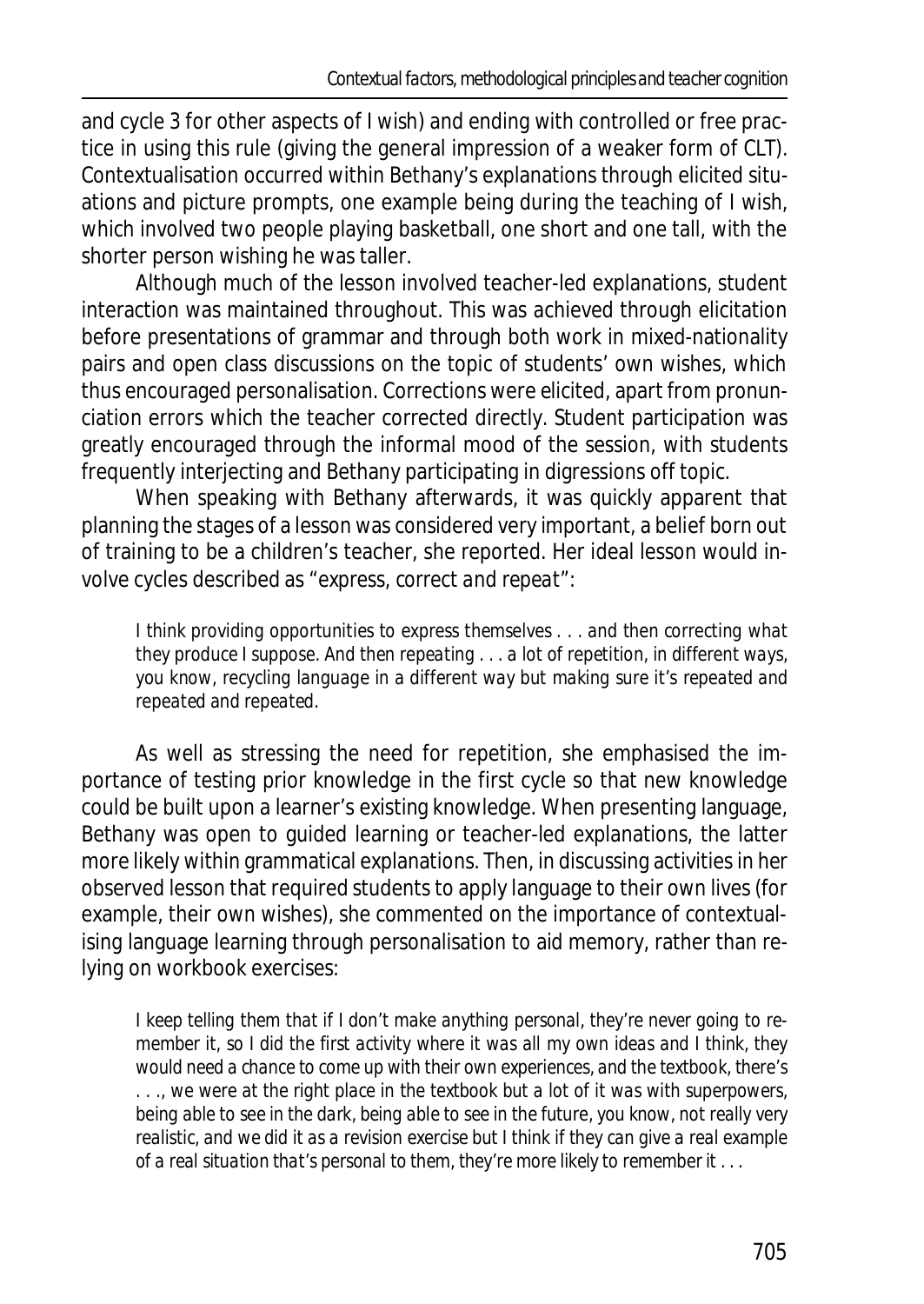and cycle 3 for other aspects of *I wish*) and ending with controlled or free practice in using this rule (giving the general impression of a weaker form of CLT). Contextualisation occurred within Bethany's explanations through elicited situations and picture prompts, one example being during the teaching of *I wish*, which involved two people playing basketball, one short and one tall, with the shorter person wishing he was taller.

Although much of the lesson involved teacher-led explanations, student interaction was maintained throughout. This was achieved through elicitation before presentations of grammar and through both work in mixed-nationality pairs and open class discussions on the topic of students' own wishes, which thus encouraged personalisation. Corrections were elicited, apart from pronunciation errors which the teacher corrected directly. Student participation was greatly encouraged through the informal mood of the session, with students frequently interjecting and Bethany participating in digressions off topic.

When speaking with Bethany afterwards, it was quickly apparent that planning the stages of a lesson was considered very important, a belief born out of training to be a children's teacher, she reported. Her ideal lesson would involve cycles described as "*express, correct and repeat*":

*I think providing opportunities to express themselves . . . and then correcting what they produce I suppose. And then repeating . . . a lot of repetition, in different ways, you know, recycling language in a different way but making sure it's repeated and repeated and repeated.*

As well as stressing the need for repetition, she emphasised the importance of testing prior knowledge in the first cycle so that new knowledge could be built upon a learner's existing knowledge. When presenting language, Bethany was open to guided learning or teacher-led explanations, the latter more likely within grammatical explanations. Then, in discussing activities in her observed lesson that required students to apply language to their own lives (for example, their own wishes), she commented on the importance of contextualising language learning through personalisation to aid memory, rather than relying on workbook exercises:

*I keep telling them that if I don't make anything personal, they're never going to remember it, so I did the first activity where it was all my own ideas and I think, they would need a chance to come up with their own experiences, and the textbook, there's . . ., we were at the right place in the textbook but a lot of it was with superpowers, being able to see in the dark, being able to see in the future, you know, not really very realistic, and we did it as a revision exercise but I think if they can give a real example of a real situation that's personal to them, they're more likely to remember it . . .*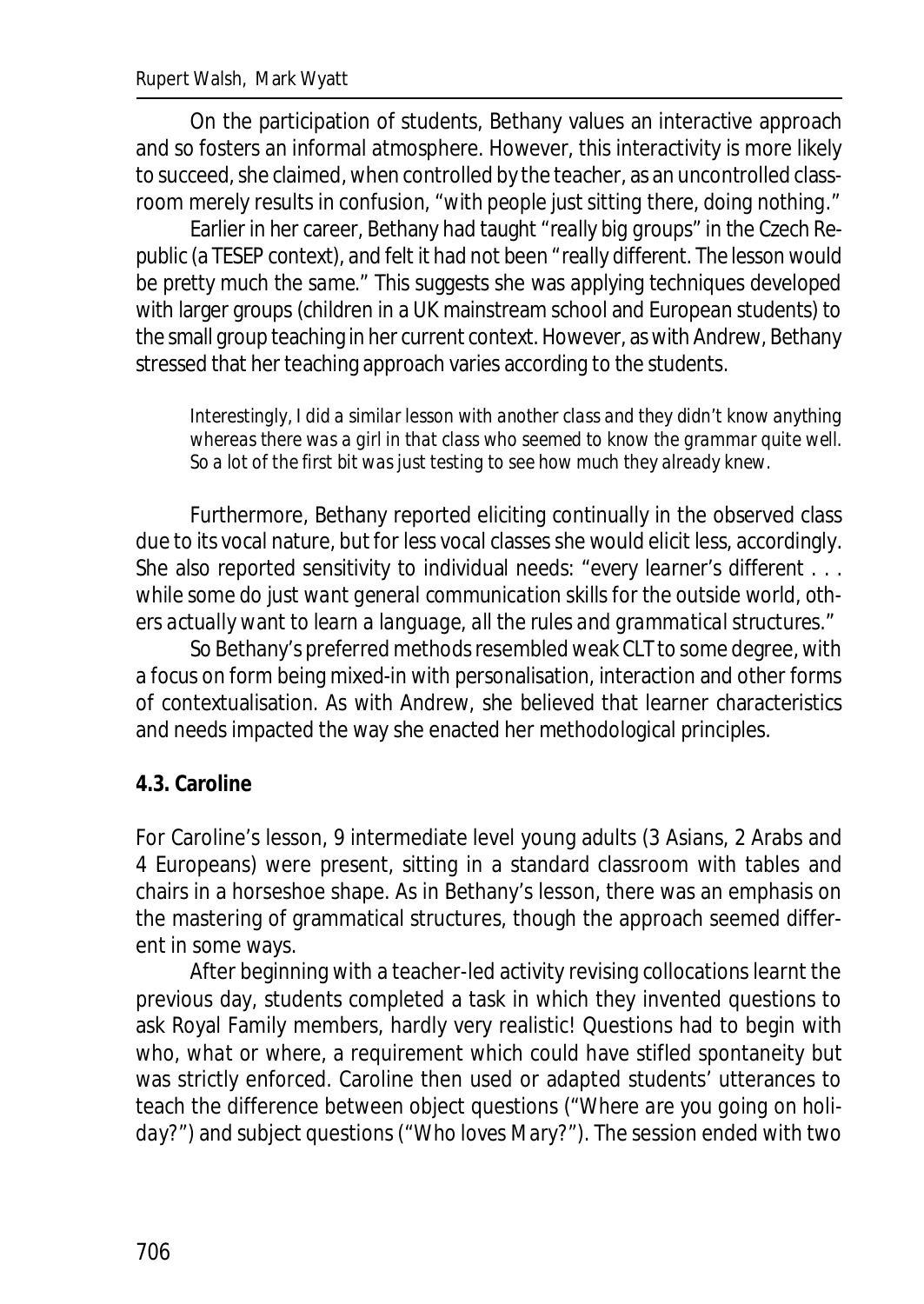On the participation of students, Bethany values an interactive approach and so fosters an informal atmosphere. However, this interactivity is more likely to succeed, she claimed, when controlled by the teacher, as an uncontrolled classroom merely results in confusion, "*with people just sitting there, doing nothing*."

Earlier in her career, Bethany had taught "*really big groups*" in the Czech Republic (a TESEP context), and felt it had not been "*really different. The lesson would be pretty much the same*." This suggests she was applying techniques developed with larger groups (children in a UK mainstream school and European students) to the small group teaching in her current context. However, as with Andrew, Bethany stressed that her teaching approach varies according to the students.

*Interestingly, I did a similar lesson with another class and they didn't know anything whereas there was a girl in that class who seemed to know the grammar quite well. So a lot of the first bit was just testing to see how much they already knew.*

Furthermore, Bethany reported eliciting continually in the observed class due to its vocal nature, but for less vocal classes she would elicit less, accordingly. She also reported sensitivity to individual needs: "*every learner's different . . . while some do just want general communication skills for the outside world, others actually want to learn a language, all the rules and grammatical structures*."

So Bethany's preferred methods resembled weak CLT to some degree, with a focus on form being mixed-in with personalisation, interaction and other forms of contextualisation. As with Andrew, she believed that learner characteristics and needs impacted the way she enacted her methodological principles.

### **4.3. Caroline**

For Caroline's lesson, 9 intermediate level young adults (3 Asians, 2 Arabs and 4 Europeans) were present, sitting in a standard classroom with tables and chairs in a horseshoe shape. As in Bethany's lesson, there was an emphasis on the mastering of grammatical structures, though the approach seemed different in some ways.

After beginning with a teacher-led activity revising collocations learnt the previous day, students completed a task in which they invented questions to ask Royal Family members, hardly very realistic! Questions had to begin with *who*, *what* or *where*, a requirement which could have stifled spontaneity but was strictly enforced. Caroline then used or adapted students' utterances to teach the difference between object questions ("*Where are you going on holiday?*") and subject questions ("*Who loves Mary?*"). The session ended with two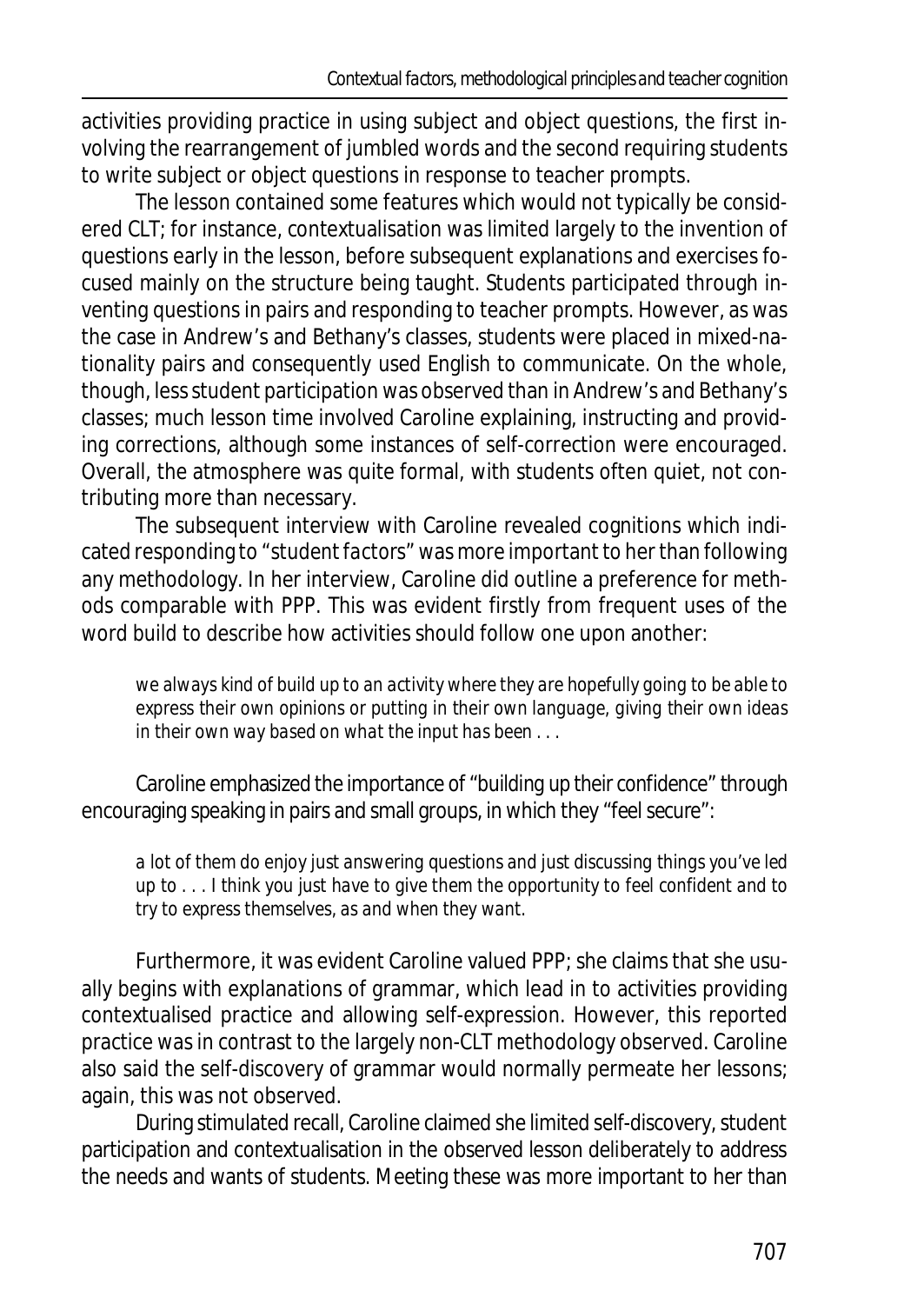activities providing practice in using subject and object questions, the first involving the rearrangement of jumbled words and the second requiring students to write subject or object questions in response to teacher prompts.

The lesson contained some features which would not typically be considered CLT; for instance, contextualisation was limited largely to the invention of questions early in the lesson, before subsequent explanations and exercises focused mainly on the structure being taught. Students participated through inventing questions in pairs and responding to teacher prompts. However, as was the case in Andrew's and Bethany's classes, students were placed in mixed-nationality pairs and consequently used English to communicate. On the whole, though, less student participation was observed than in Andrew's and Bethany's classes; much lesson time involved Caroline explaining, instructing and providing corrections, although some instances of self-correction were encouraged. Overall, the atmosphere was quite formal, with students often quiet, not contributing more than necessary.

The subsequent interview with Caroline revealed cognitions which indicated responding to "*student factors*" was more important to her than following any methodology. In her interview, Caroline did outline a preference for methods comparable with PPP. This was evident firstly from frequent uses of the word *build* to describe how activities should follow one upon another:

*we always kind of build up to an activity where they are hopefully going to be able to express their own opinions or putting in their own language, giving their own ideas in their own way based on what the input has been . . .*

Caroline emphasized the importance of "*building up their confidence*" through encouraging speaking in pairs and small groups, in which they "*feel secure*":

*a lot of them do enjoy just answering questions and just discussing things you've led up to . . . I think you just have to give them the opportunity to feel confident and to try to express themselves, as and when they want.*

Furthermore, it was evident Caroline valued PPP; she claims that she usually begins with explanations of grammar, which lead in to activities providing contextualised practice and allowing self-expression. However, this reported practice was in contrast to the largely non-CLT methodology observed. Caroline also said the self-discovery of grammar would normally permeate her lessons; again, this was not observed.

During stimulated recall, Caroline claimed she limited self-discovery, student participation and contextualisation in the observed lesson deliberately to address the needs and wants of students. Meeting these was more important to her than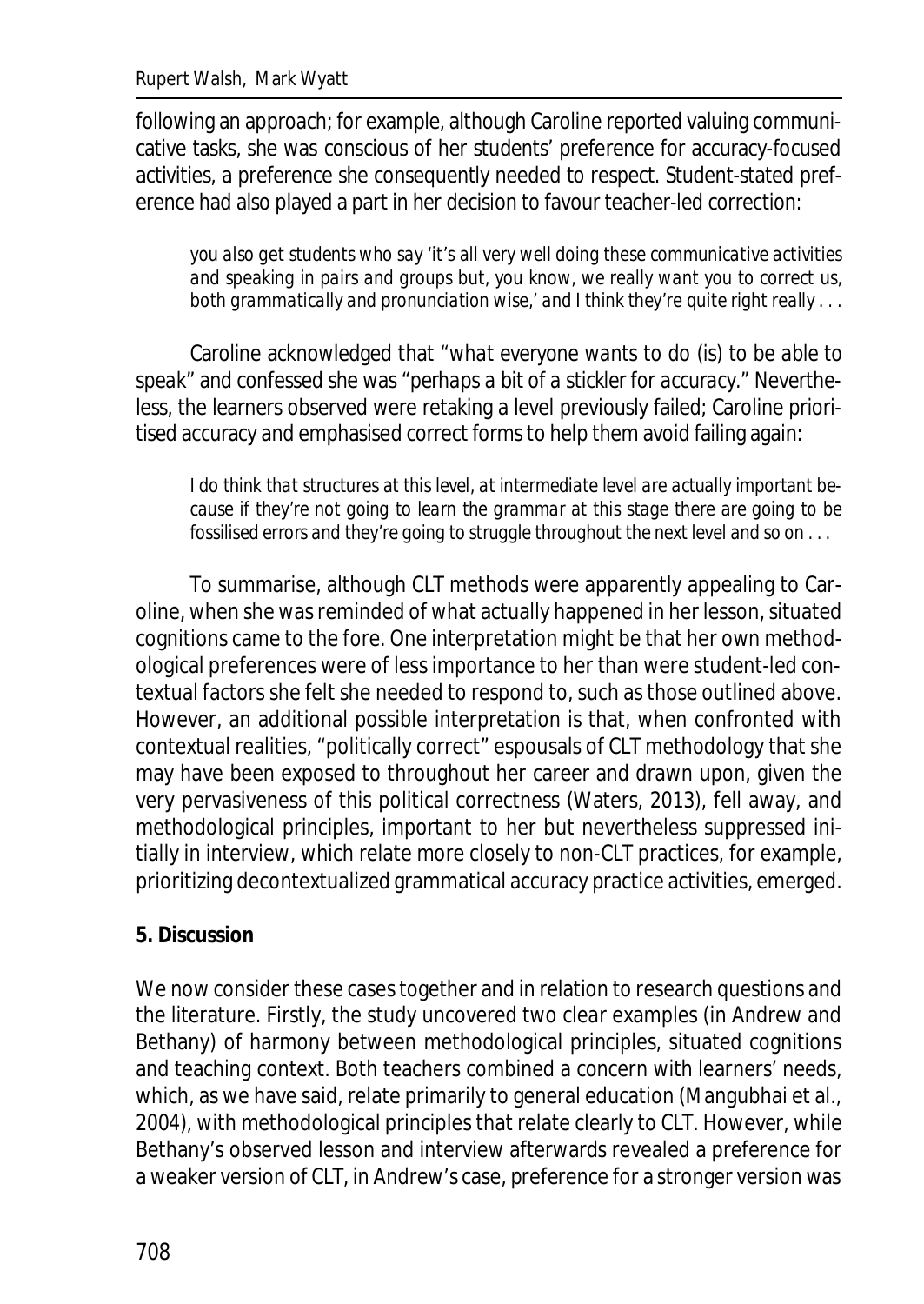following an approach; for example, although Caroline reported valuing communicative tasks, she was conscious of her students' preference for accuracy-focused activities, a preference she consequently needed to respect. Student-stated preference had also played a part in her decision to favour teacher-led correction:

*you also get students who say 'it's all very well doing these communicative activities and speaking in pairs and groups but, you know, we really want you to correct us, both grammatically and pronunciation wise,' and I think they're quite right really . . .*

Caroline acknowledged that "*what everyone wants to do* (is) to *be able to speak*" and confessed she was "*perhaps a bit of a stickler for accuracy*." Nevertheless, the learners observed were retaking a level previously failed; Caroline prioritised accuracy and emphasised correct forms to help them avoid failing again:

*I do think that structures at this level, at intermediate level are actually important because if they're not going to learn the grammar at this stage there are going to be fossilised errors and they're going to struggle throughout the next level and so on . . .*

To summarise, although CLT methods were apparently appealing to Caroline, when she was reminded of what actually happened in her lesson, situated cognitions came to the fore. One interpretation might be that her own methodological preferences were of less importance to her than were student-led contextual factors she felt she needed to respond to, such as those outlined above. However, an additional possible interpretation is that, when confronted with contextual realities, "politically correct" espousals of CLT methodology that she may have been exposed to throughout her career and drawn upon, given the very pervasiveness of this political correctness (Waters, 2013), fell away, and methodological principles, important to her but nevertheless suppressed initially in interview, which relate more closely to non-CLT practices, for example, prioritizing decontextualized grammatical accuracy practice activities, emerged.

### **5. Discussion**

We now consider these cases together and in relation to research questions and the literature. Firstly, the study uncovered two clear examples (in Andrew and Bethany) of harmony between methodological principles, situated cognitions and teaching context. Both teachers combined a concern with learners' needs, which, as we have said, relate primarily to general education (Mangubhai et al., 2004), with methodological principles that relate clearly to CLT. However, while Bethany's observed lesson and interview afterwards revealed a preference for a weaker version of CLT, in Andrew's case, preference for a stronger version was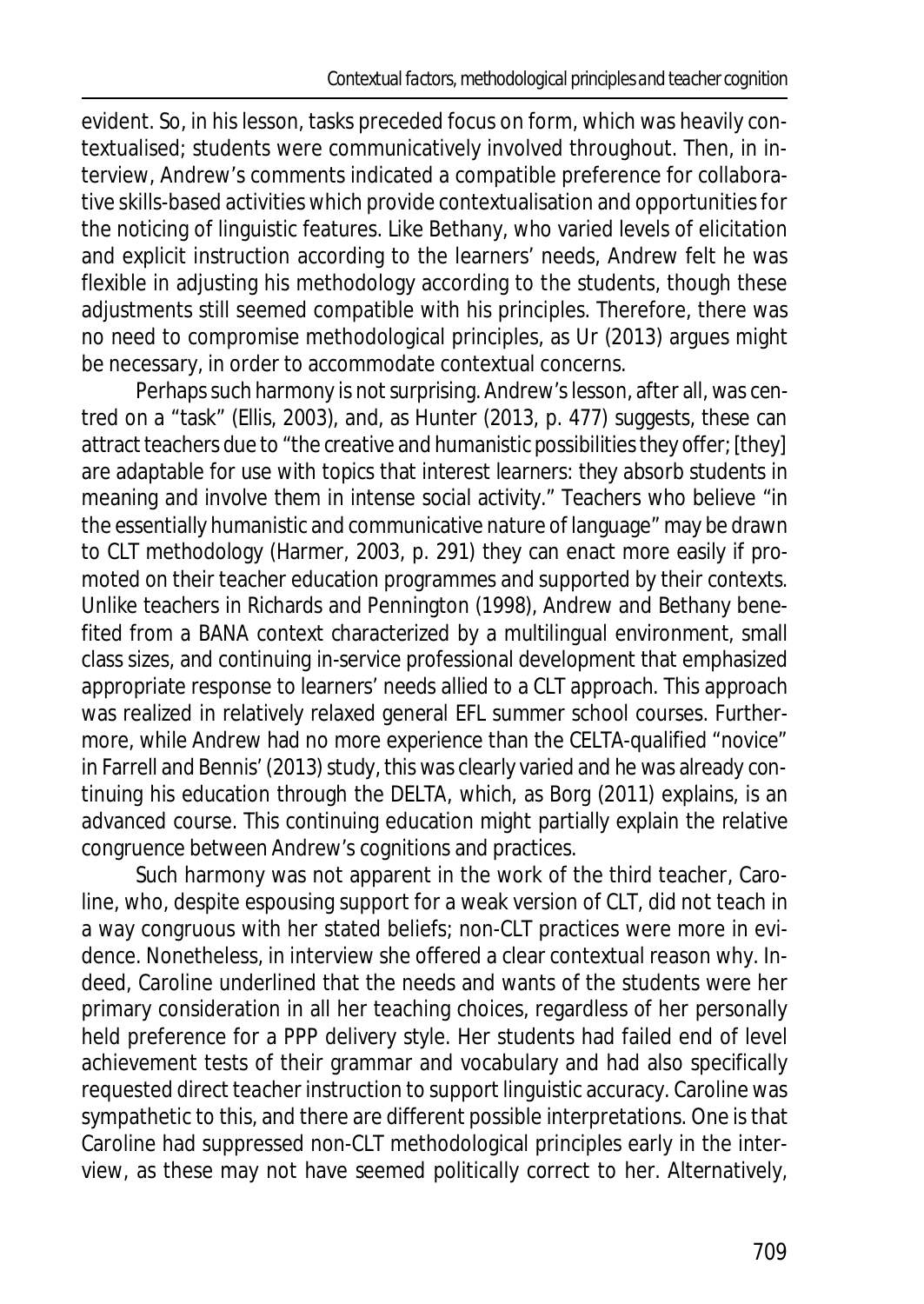evident. So, in his lesson, tasks preceded focus on form, which was heavily contextualised; students were communicatively involved throughout. Then, in interview, Andrew's comments indicated a compatible preference for collaborative skills-based activities which provide contextualisation and opportunities for the noticing of linguistic features. Like Bethany, who varied levels of elicitation and explicit instruction according to the learners' needs, Andrew felt he was flexible in adjusting his methodology according to the students, though these adjustments still seemed compatible with his principles. Therefore, there was no need to compromise methodological principles, as Ur (2013) argues might be necessary, in order to accommodate contextual concerns.

Perhaps such harmony is not surprising. Andrew's lesson, after all, was centred on a "task" (Ellis, 2003), and, as Hunter (2013, p. 477) suggests, these can attract teachers due to "the creative and humanistic possibilities they offer; [they] are adaptable for use with topics that interest learners: they absorb students in meaning and involve them in intense social activity." Teachers who believe "in the essentially humanistic and communicative nature of language" may be drawn to CLT methodology (Harmer, 2003, p. 291) they can enact more easily if promoted on their teacher education programmes and supported by their contexts. Unlike teachers in Richards and Pennington (1998), Andrew and Bethany benefited from a BANA context characterized by a multilingual environment, small class sizes, and continuing in-service professional development that emphasized appropriate response to learners' needs allied to a CLT approach. This approach was realized in relatively relaxed general EFL summer school courses. Furthermore, while Andrew had no more experience than the CELTA-qualified "novice" in Farrell and Bennis' (2013) study, this was clearly varied and he was already continuing his education through the DELTA, which, as Borg (2011) explains, is an advanced course. This continuing education might partially explain the relative congruence between Andrew's cognitions and practices.

Such harmony was not apparent in the work of the third teacher, Caroline, who, despite espousing support for a weak version of CLT, did not teach in a way congruous with her stated beliefs; non-CLT practices were more in evidence. Nonetheless, in interview she offered a clear contextual reason why. Indeed, Caroline underlined that the needs and wants of the students were her primary consideration in all her teaching choices, regardless of her personally held preference for a PPP delivery style. Her students had failed end of level achievement tests of their grammar and vocabulary and had also specifically requested direct teacher instruction to support linguistic accuracy. Caroline was sympathetic to this, and there are different possible interpretations. One is that Caroline had suppressed non-CLT methodological principles early in the interview, as these may not have seemed politically correct to her. Alternatively,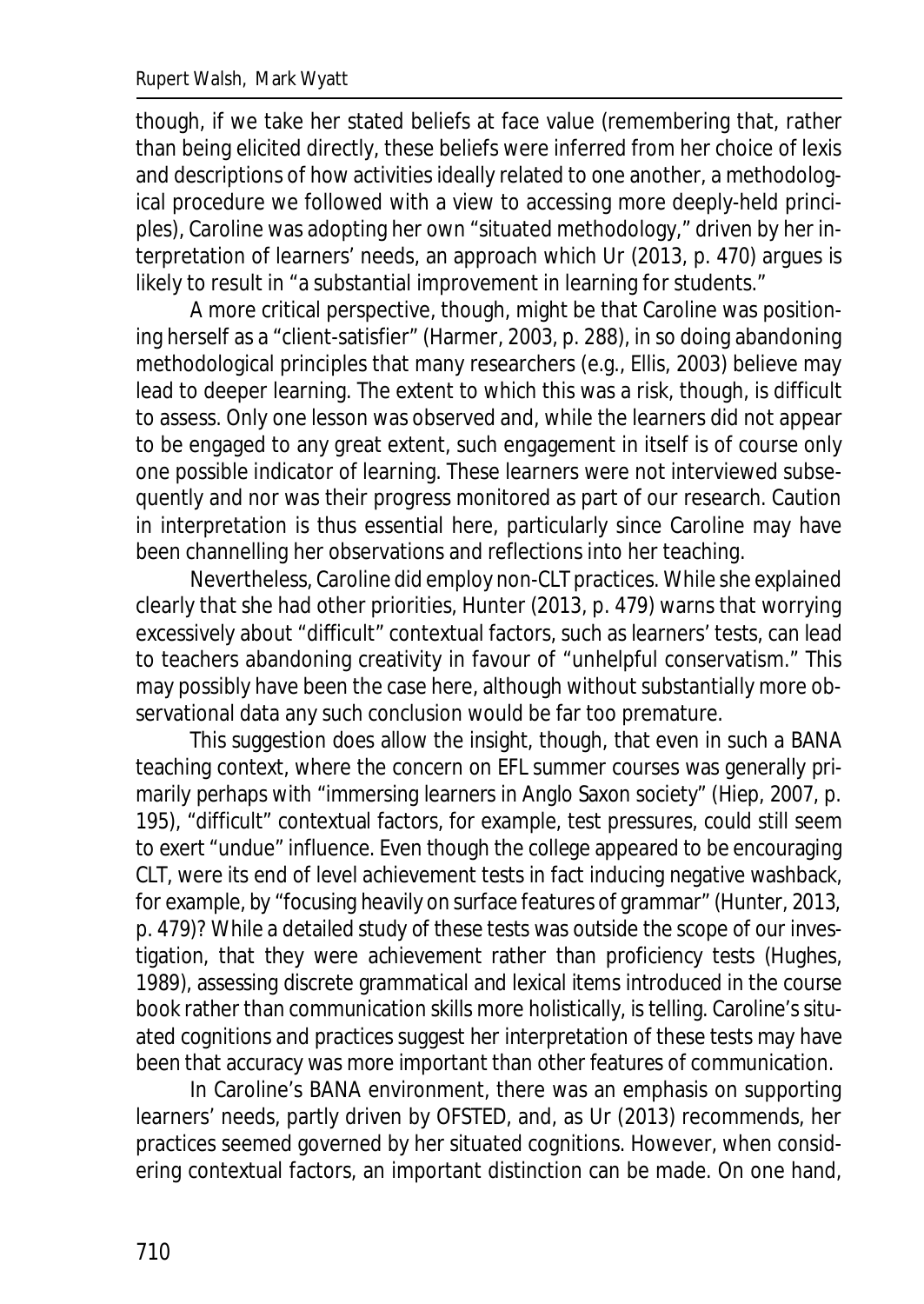though, if we take her stated beliefs at face value (remembering that, rather than being elicited directly, these beliefs were inferred from her choice of lexis and descriptions of how activities ideally related to one another, a methodological procedure we followed with a view to accessing more deeply-held principles), Caroline was adopting her own "situated methodology," driven by her interpretation of learners' needs, an approach which Ur (2013, p. 470) argues is likely to result in "a substantial improvement in learning for students."

A more critical perspective, though, might be that Caroline was positioning herself as a "client-satisfier" (Harmer, 2003, p. 288), in so doing abandoning methodological principles that many researchers (e.g., Ellis, 2003) believe may lead to deeper learning. The extent to which this was a risk, though, is difficult to assess. Only one lesson was observed and, while the learners did not appear to be engaged to any great extent, such engagement in itself is of course only one possible indicator of learning. These learners were not interviewed subsequently and nor was their progress monitored as part of our research. Caution in interpretation is thus essential here, particularly since Caroline may have been channelling her observations and reflections into her teaching.

Nevertheless, Caroline did employ non-CLT practices. While she explained clearly that she had other priorities, Hunter (2013, p. 479) warns that worrying excessively about "difficult" contextual factors, such as learners' tests, can lead to teachers abandoning creativity in favour of "unhelpful conservatism." This may possibly have been the case here, although without substantially more observational data any such conclusion would be far too premature.

This suggestion does allow the insight, though, that even in such a BANA teaching context, where the concern on EFL summer courses was generally primarily perhaps with "immersing learners in Anglo Saxon society" (Hiep, 2007, p. 195), "difficult" contextual factors, for example, test pressures, could still seem to exert "undue" influence. Even though the college appeared to be encouraging CLT, were its end of level achievement tests in fact inducing negative washback, for example, by "focusing heavily on surface features of grammar" (Hunter, 2013, p. 479)? While a detailed study of these tests was outside the scope of our investigation, that they were achievement rather than proficiency tests (Hughes, 1989), assessing discrete grammatical and lexical items introduced in the course book rather than communication skills more holistically, is telling. Caroline's situated cognitions and practices suggest her interpretation of these tests may have been that accuracy was more important than other features of communication.

In Caroline's BANA environment, there was an emphasis on supporting learners' needs, partly driven by OFSTED, and, as Ur (2013) recommends, her practices seemed governed by her situated cognitions. However, when considering contextual factors, an important distinction can be made. On one hand,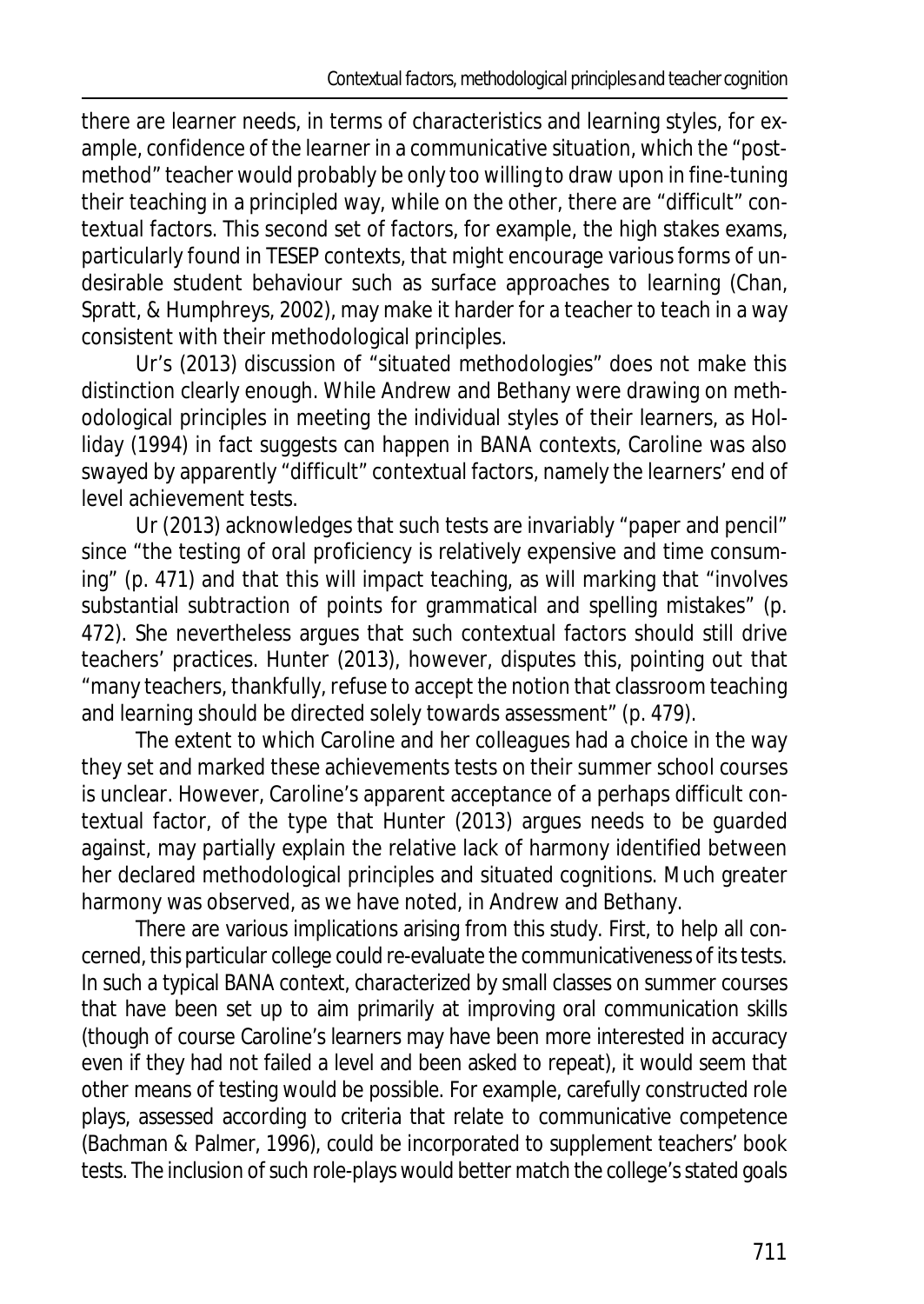there are learner needs, in terms of characteristics and learning styles, for example, confidence of the learner in a communicative situation, which the "postmethod" teacher would probably be only too willing to draw upon in fine-tuning their teaching in a principled way, while on the other, there are "difficult" contextual factors. This second set of factors, for example, the high stakes exams, particularly found in TESEP contexts, that might encourage various forms of undesirable student behaviour such as surface approaches to learning (Chan, Spratt, & Humphreys, 2002), may make it harder for a teacher to teach in a way consistent with their methodological principles.

Ur's (2013) discussion of "situated methodologies" does not make this distinction clearly enough. While Andrew and Bethany were drawing on methodological principles in meeting the individual styles of their learners, as Holliday (1994) in fact suggests can happen in BANA contexts, Caroline was also swayed by apparently "difficult" contextual factors, namely the learners' end of level achievement tests.

Ur (2013) acknowledges that such tests are invariably "paper and pencil" since "the testing of oral proficiency is relatively expensive and time consuming" (p. 471) and that this will impact teaching, as will marking that "involves substantial subtraction of points for grammatical and spelling mistakes" (p. 472). She nevertheless argues that such contextual factors should still drive teachers' practices. Hunter (2013), however, disputes this, pointing out that "many teachers, thankfully, refuse to accept the notion that classroom teaching and learning should be directed solely towards assessment" (p. 479).

The extent to which Caroline and her colleagues had a choice in the way they set and marked these achievements tests on their summer school courses is unclear. However, Caroline's apparent acceptance of a perhaps difficult contextual factor, of the type that Hunter (2013) argues needs to be guarded against, may partially explain the relative lack of harmony identified between her declared methodological principles and situated cognitions. Much greater harmony was observed, as we have noted, in Andrew and Bethany.

There are various implications arising from this study. First, to help all concerned, this particular college could re-evaluate the communicativeness of its tests. In such a typical BANA context, characterized by small classes on summer courses that have been set up to aim primarily at improving oral communication skills (though of course Caroline's learners may have been more interested in accuracy even if they had not failed a level and been asked to repeat), it would seem that other means of testing would be possible. For example, carefully constructed role plays, assessed according to criteria that relate to communicative competence (Bachman & Palmer, 1996), could be incorporated to supplement teachers' book tests. The inclusion of such role-plays would better match the college's stated goals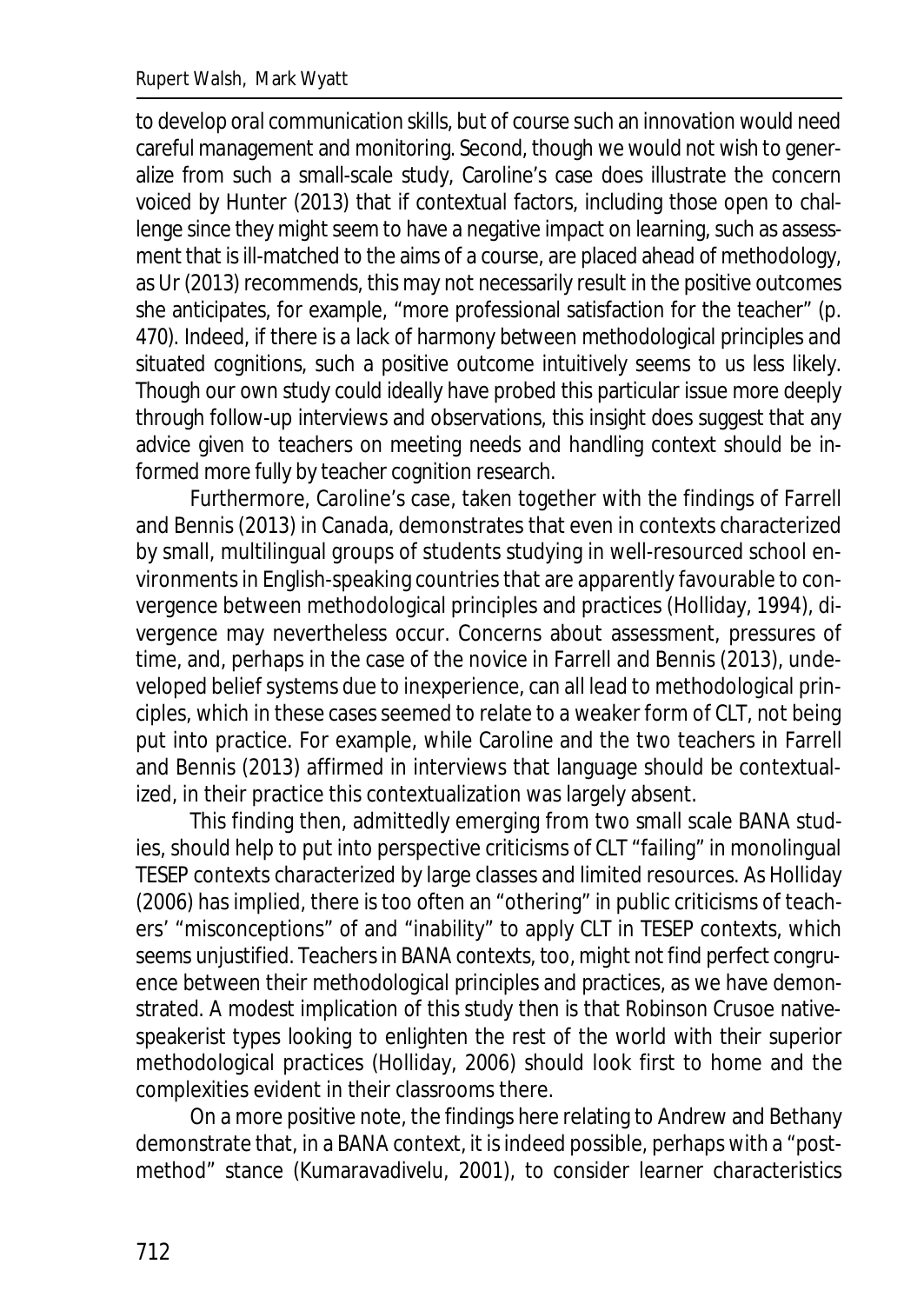to develop oral communication skills, but of course such an innovation would need careful management and monitoring. Second, though we would not wish to generalize from such a small-scale study, Caroline's case does illustrate the concern voiced by Hunter (2013) that if contextual factors, including those open to challenge since they might seem to have a negative impact on learning, such as assessment that is ill-matched to the aims of a course, are placed ahead of methodology, as Ur (2013) recommends, this may not necessarily result in the positive outcomes she anticipates, for example, "more professional satisfaction for the teacher" (p. 470). Indeed, if there is a lack of harmony between methodological principles and situated cognitions, such a positive outcome intuitively seems to us less likely. Though our own study could ideally have probed this particular issue more deeply through follow-up interviews and observations, this insight does suggest that any advice given to teachers on meeting needs and handling context should be informed more fully by teacher cognition research.

Furthermore, Caroline's case, taken together with the findings of Farrell and Bennis (2013) in Canada, demonstrates that even in contexts characterized by small, multilingual groups of students studying in well-resourced school environments in English-speaking countries that are apparently favourable to convergence between methodological principles and practices (Holliday, 1994), divergence may nevertheless occur. Concerns about assessment, pressures of time, and, perhaps in the case of the novice in Farrell and Bennis (2013), undeveloped belief systems due to inexperience, can all lead to methodological principles, which in these cases seemed to relate to a weaker form of CLT, not being put into practice. For example, while Caroline and the two teachers in Farrell and Bennis (2013) affirmed in interviews that language should be contextualized, in their practice this contextualization was largely absent.

This finding then, admittedly emerging from two small scale BANA studies, should help to put into perspective criticisms of CLT "failing" in monolingual TESEP contexts characterized by large classes and limited resources. As Holliday (2006) has implied, there is too often an "othering" in public criticisms of teachers' "misconceptions" of and "inability" to apply CLT in TESEP contexts, which seems unjustified. Teachers in BANA contexts, too, might not find perfect congruence between their methodological principles and practices, as we have demonstrated. A modest implication of this study then is that Robinson Crusoe nativespeakerist types looking to enlighten the rest of the world with their superior methodological practices (Holliday, 2006) should look first to home and the complexities evident in their classrooms there.

On a more positive note, the findings here relating to Andrew and Bethany demonstrate that, in a BANA context, it is indeed possible, perhaps with a "postmethod" stance (Kumaravadivelu, 2001), to consider learner characteristics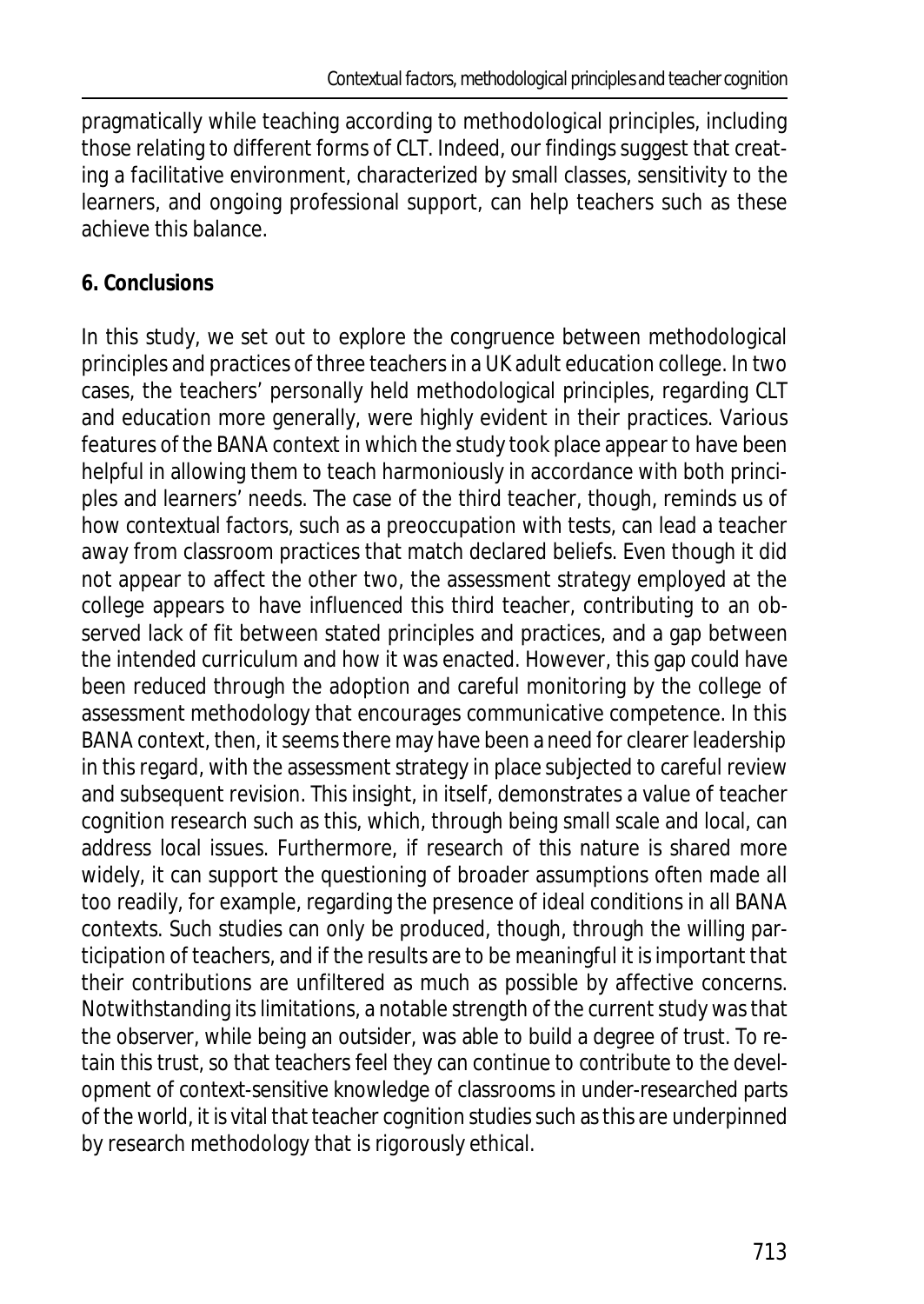pragmatically while teaching according to methodological principles, including those relating to different forms of CLT. Indeed, our findings suggest that creating a facilitative environment, characterized by small classes, sensitivity to the learners, and ongoing professional support, can help teachers such as these achieve this balance.

## **6. Conclusions**

In this study, we set out to explore the congruence between methodological principles and practices of three teachers in a UK adult education college. In two cases, the teachers' personally held methodological principles, regarding CLT and education more generally, were highly evident in their practices. Various features of the BANA context in which the study took place appear to have been helpful in allowing them to teach harmoniously in accordance with both principles and learners' needs. The case of the third teacher, though, reminds us of how contextual factors, such as a preoccupation with tests, can lead a teacher away from classroom practices that match declared beliefs. Even though it did not appear to affect the other two, the assessment strategy employed at the college appears to have influenced this third teacher, contributing to an observed lack of fit between stated principles and practices, and a gap between the intended curriculum and how it was enacted. However, this gap could have been reduced through the adoption and careful monitoring by the college of assessment methodology that encourages communicative competence. In this BANA context, then, it seems there may have been a need for clearer leadership in this regard, with the assessment strategy in place subjected to careful review and subsequent revision. This insight, in itself, demonstrates a value of teacher cognition research such as this, which, through being small scale and local, can address local issues. Furthermore, if research of this nature is shared more widely, it can support the questioning of broader assumptions often made all too readily, for example, regarding the presence of ideal conditions in all BANA contexts. Such studies can only be produced, though, through the willing participation of teachers, and if the results are to be meaningful it is important that their contributions are unfiltered as much as possible by affective concerns. Notwithstanding its limitations, a notable strength of the current study was that the observer, while being an outsider, was able to build a degree of trust. To retain this trust, so that teachers feel they can continue to contribute to the development of context-sensitive knowledge of classrooms in under-researched parts of the world, it is vital that teacher cognition studies such as this are underpinned by research methodology that is rigorously ethical.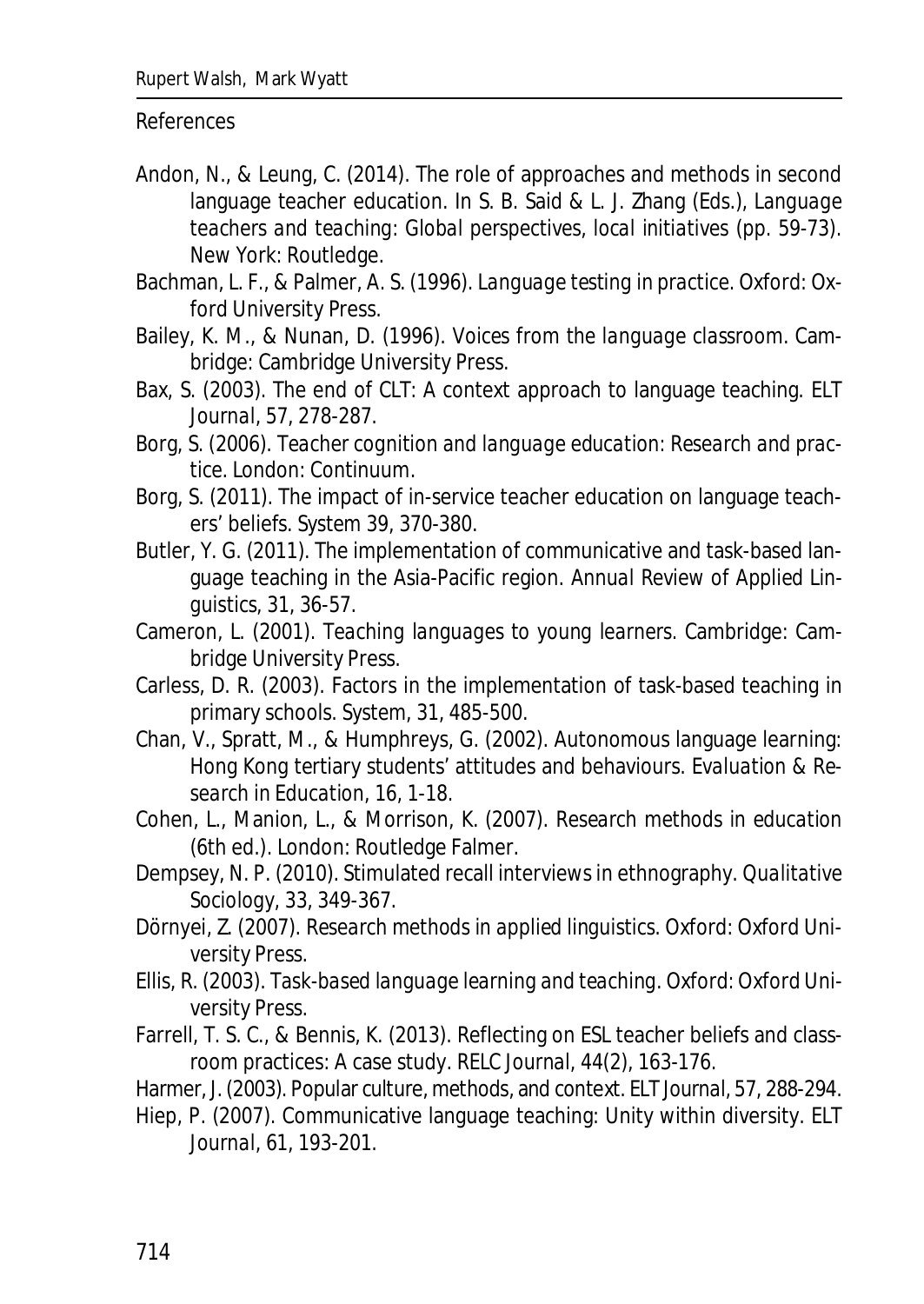#### References

- Andon, N., & Leung, C. (2014). The role of approaches and methods in second language teacher education. In S. B. Said & L. J. Zhang (Eds.), *Language teachers and teaching: Global perspectives, local initiatives* (pp. 59-73). New York: Routledge.
- Bachman, L. F., & Palmer, A. S. (1996). *Language testing in practice.* Oxford: Oxford University Press.
- Bailey, K. M., & Nunan, D. (1996). *Voices from the language classroom*. Cambridge: Cambridge University Press.
- Bax, S. (2003). The end of CLT: A context approach to language teaching. *ELT Journal, 57*, 278-287.
- Borg, S. (2006). *Teacher cognition and language education: Research and practice*. London: Continuum.
- Borg, S. (2011). The impact of in-service teacher education on language teachers' beliefs. *System 39,* 370-380.
- Butler, Y. G. (2011). The implementation of communicative and task-based language teaching in the Asia-Pacific region. *Annual Review of Applied Linguistics, 31*, 36-57.
- Cameron, L. (2001). *Teaching languages to young learners.* Cambridge: Cambridge University Press.
- Carless, D. R. (2003). Factors in the implementation of task-based teaching in primary schools. *System, 31*, 485-500.
- Chan, V., Spratt, M., & Humphreys, G. (2002). Autonomous language learning: Hong Kong tertiary students' attitudes and behaviours. *Evaluation & Research in Education, 16*, 1-18.
- Cohen, L., Manion, L., & Morrison, K. (2007). *Research methods in education* (6th ed.). London: Routledge Falmer.
- Dempsey, N. P. (2010). Stimulated recall interviews in ethnography. *Qualitative Sociology, 33*, 349-367.
- Dörnyei, Z. (2007). *Research methods in applied linguistics*. Oxford: Oxford University Press.
- Ellis, R. (2003). *Task-based language learning and teaching*. Oxford: Oxford University Press.
- Farrell, T. S. C., & Bennis, K. (2013). Reflecting on ESL teacher beliefs and classroom practices: A case study. *RELC Journal, 44*(2), 163-176.
- Harmer, J. (2003). Popular culture, methods, and context. *ELT Journal, 57*, 288-294.
- Hiep, P. (2007). Communicative language teaching: Unity within diversity. *ELT Journal, 61*, 193-201.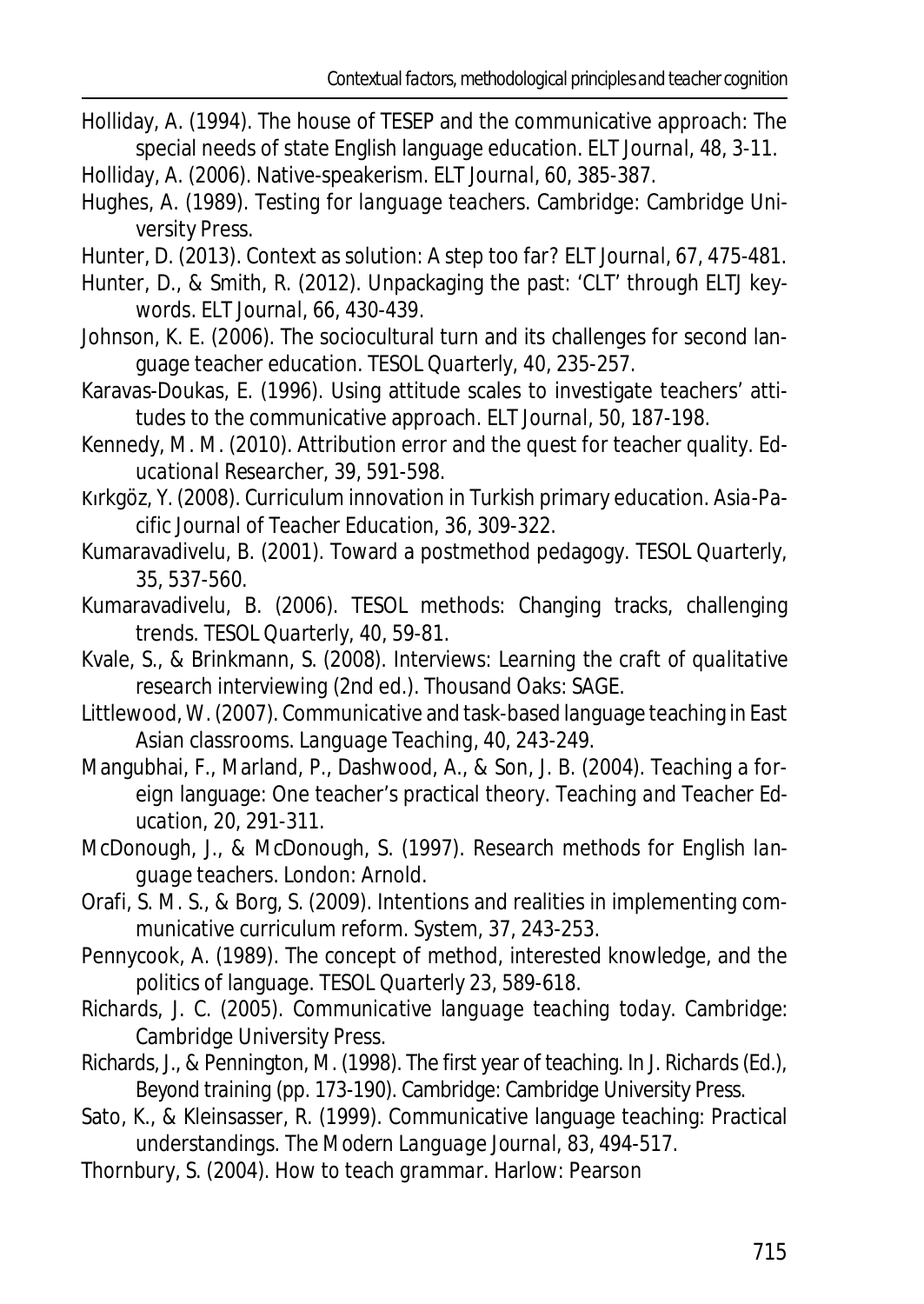- Holliday, A. (1994). The house of TESEP and the communicative approach: The special needs of state English language education. *ELT Journal, 48*, 3-11.
- Holliday, A. (2006). Native-speakerism. *ELT Journal, 60*, 385-387.
- Hughes, A. (1989). *Testing for language teachers*. Cambridge: Cambridge University Press.
- Hunter, D. (2013). Context as solution: A step too far? *ELT Journal, 67*, 475-481.
- Hunter, D., & Smith, R. (2012). Unpackaging the past: 'CLT' through *ELTJ* keywords. *ELT Journal, 66*, 430-439.
- Johnson, K. E. (2006). The sociocultural turn and its challenges for second language teacher education. *TESOL Quarterly, 40*, 235-257.
- Karavas-Doukas, E. (1996). Using attitude scales to investigate teachers' attitudes to the communicative approach. *ELT Journal, 50*, 187-198.
- Kennedy, M. M. (2010). Attribution error and the quest for teacher quality. *Educational Researcher, 39*, 591-598.
- Kırkgöz, Y. (2008). Curriculum innovation in Turkish primary education. *Asia-Pacific Journal of Teacher Education, 36*, 309-322.
- Kumaravadivelu, B. (2001). Toward a postmethod pedagogy. *TESOL Quarterly, 35*, 537-560.
- Kumaravadivelu, B. (2006). TESOL methods: Changing tracks, challenging trends. *TESOL Quarterly, 40*, 59-81.
- Kvale, S., & Brinkmann, S. (2008). *Interviews: Learning the craft of qualitative research interviewing* (2nd ed.). Thousand Oaks: SAGE.
- Littlewood, W. (2007). Communicative and task-based language teaching in East Asian classrooms. *Language Teaching, 40*, 243-249.
- Mangubhai, F., Marland, P., Dashwood, A., & Son, J. B. (2004). Teaching a foreign language: One teacher's practical theory. *Teaching and Teacher Education, 20*, 291-311.
- McDonough, J., & McDonough, S. (1997). *Research methods for English language teachers*. London: Arnold.
- Orafi, S. M. S., & Borg, S. (2009). Intentions and realities in implementing communicative curriculum reform. *System, 37*, 243-253.
- Pennycook, A. (1989). The concept of method, interested knowledge, and the politics of language. *TESOL Quarterly 23*, 589-618.
- Richards, J. C. (2005). *Communicative language teaching today.* Cambridge: Cambridge University Press.
- Richards, J., & Pennington, M. (1998). The first year of teaching. In J. Richards (Ed.), *Beyond training* (pp. 173-190). Cambridge: Cambridge University Press.
- Sato, K., & Kleinsasser, R. (1999). Communicative language teaching: Practical understandings. *The Modern Language Journal, 83*, 494-517.
- Thornbury, S. (2004). *How to teach grammar*. Harlow: Pearson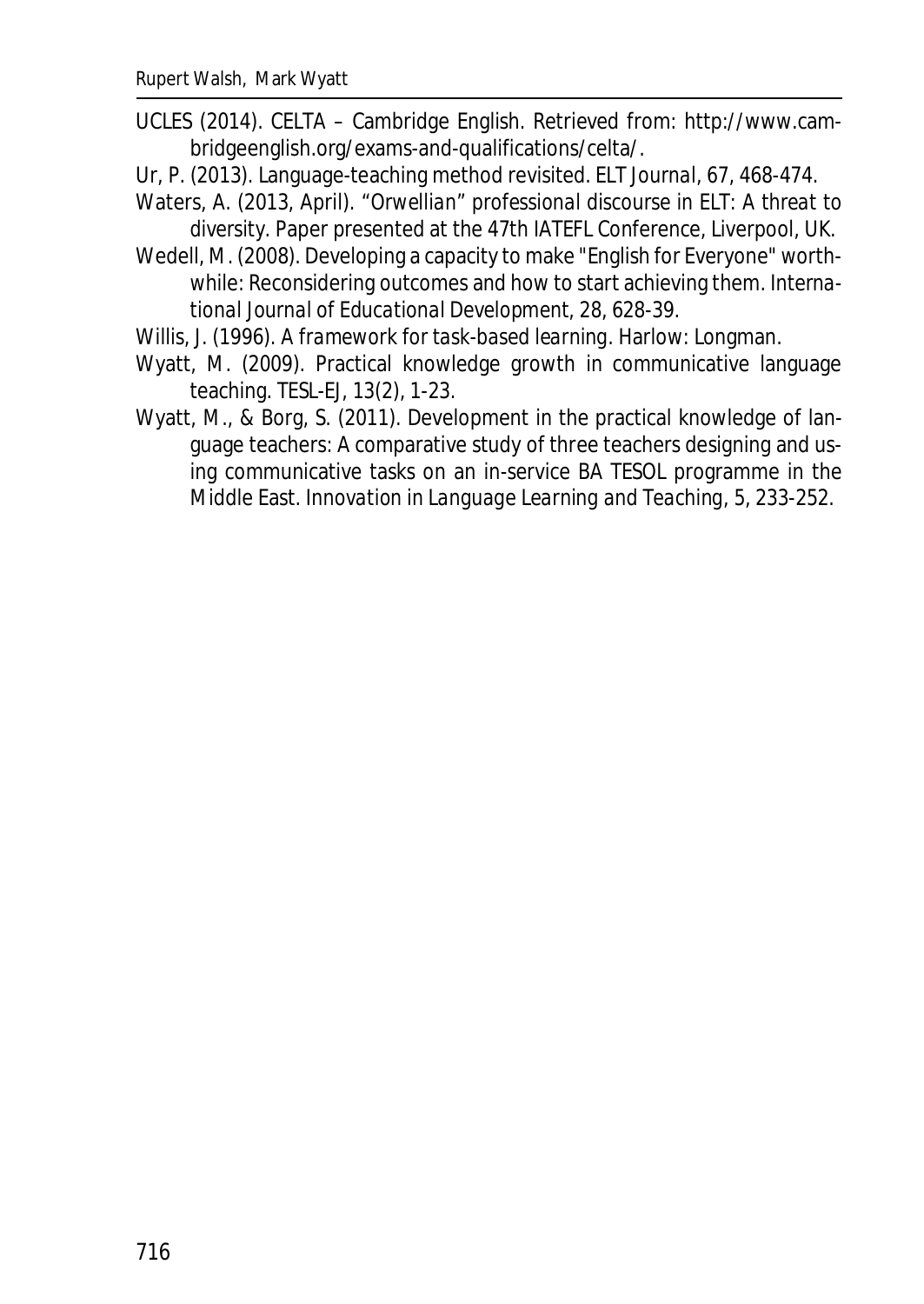- UCLES (2014). CELTA Cambridge English. Retrieved from: http://www.cambridgeenglish.org/exams-and-qualifications/celta/.
- Ur, P. (2013). Language-teaching method revisited. *ELT Journal, 67*, 468-474.
- Waters, A. (2013, April). *"Orwellian" professional discourse in ELT: A threat to diversity.* Paper presented at the 47th IATEFL Conference, Liverpool, UK.
- Wedell, M. (2008). Developing a capacity to make "English for Everyone" worthwhile: Reconsidering outcomes and how to start achieving them*. International Journal of Educational Development, 28*, 628-39.
- Willis, J. (1996). *A framework for task-based learning*. Harlow: Longman.
- Wyatt, M. (2009). Practical knowledge growth in communicative language teaching. *TESL-EJ, 13*(2), 1-23.
- Wyatt, M., & Borg, S. (2011). Development in the practical knowledge of language teachers: A comparative study of three teachers designing and using communicative tasks on an in-service BA TESOL programme in the Middle East. *Innovation in Language Learning and Teaching, 5*, 233-252*.*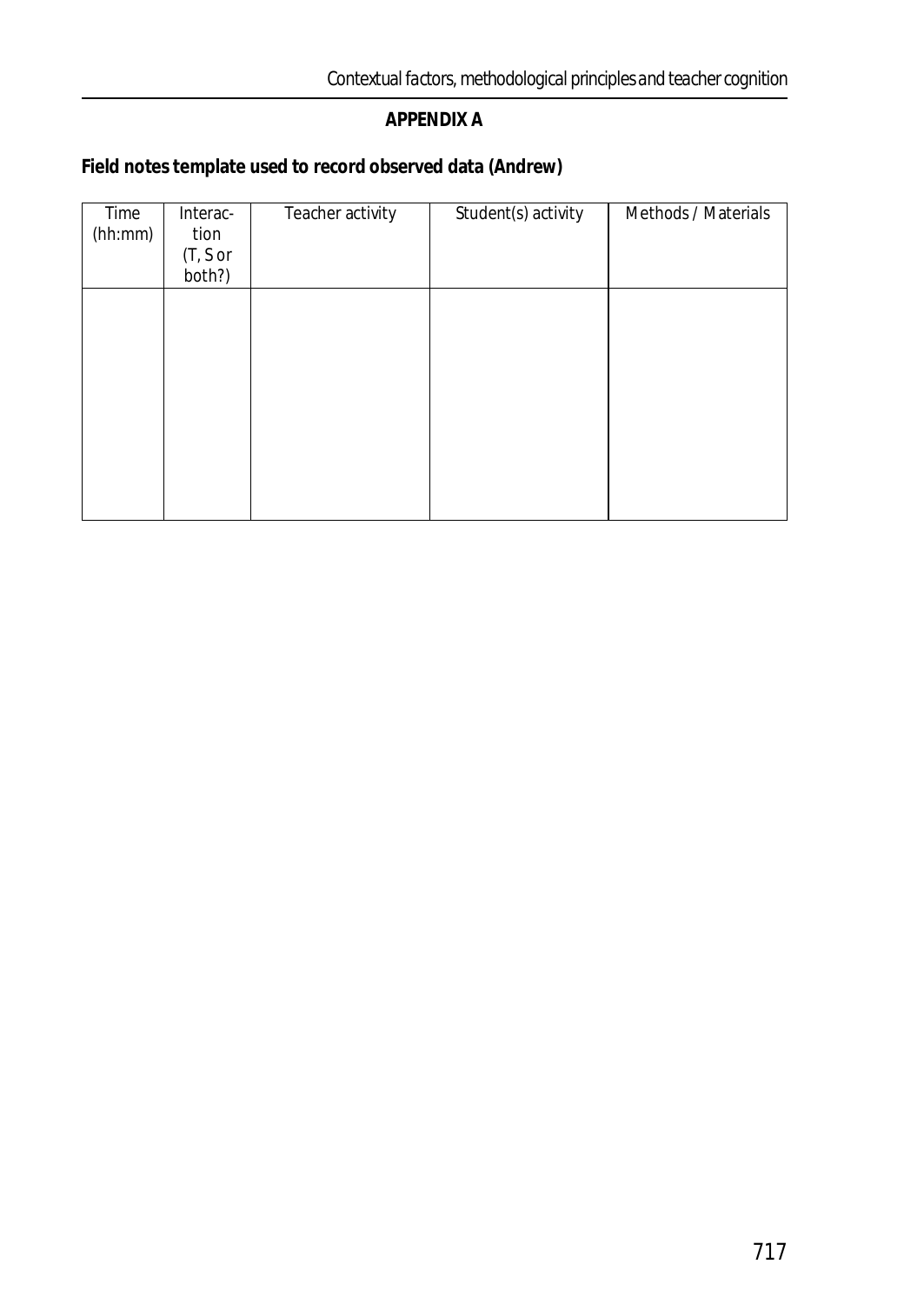### **APPENDIX A**

**Field notes template used to record observed data (Andrew)**

| Time<br>(hh:mm) | Interac-<br>tion<br>(T, S or<br>both?) | Teacher activity | Student(s) activity | Methods / Materials |
|-----------------|----------------------------------------|------------------|---------------------|---------------------|
|                 |                                        |                  |                     |                     |
|                 |                                        |                  |                     |                     |
|                 |                                        |                  |                     |                     |
|                 |                                        |                  |                     |                     |